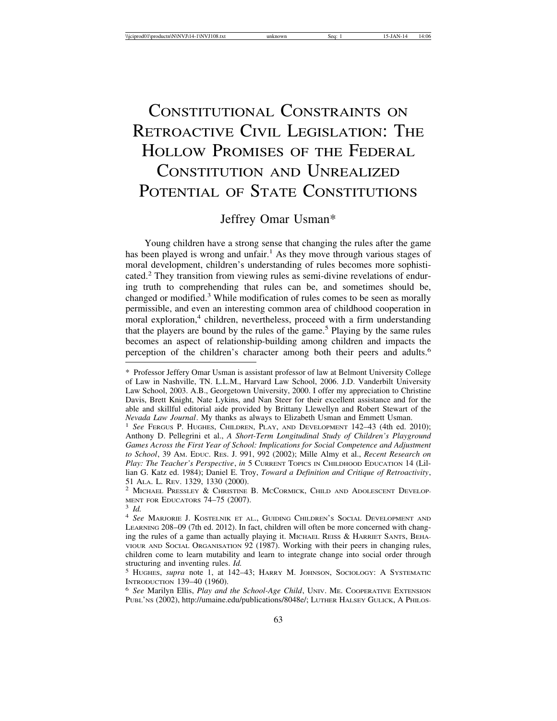# CONSTITUTIONAL CONSTRAINTS ON RETROACTIVE CIVIL LEGISLATION: THE HOLLOW PROMISES OF THE FEDERAL CONSTITUTION AND UNREALIZED POTENTIAL OF STATE CONSTITUTIONS

## Jeffrey Omar Usman\*

Young children have a strong sense that changing the rules after the game has been played is wrong and unfair.<sup>1</sup> As they move through various stages of moral development, children's understanding of rules becomes more sophisticated.<sup>2</sup> They transition from viewing rules as semi-divine revelations of enduring truth to comprehending that rules can be, and sometimes should be, changed or modified.<sup>3</sup> While modification of rules comes to be seen as morally permissible, and even an interesting common area of childhood cooperation in moral exploration,<sup>4</sup> children, nevertheless, proceed with a firm understanding that the players are bound by the rules of the game.<sup>5</sup> Playing by the same rules becomes an aspect of relationship-building among children and impacts the perception of the children's character among both their peers and adults.<sup>6</sup>

<sup>\*</sup> Professor Jeffery Omar Usman is assistant professor of law at Belmont University College of Law in Nashville, TN. L.L.M., Harvard Law School, 2006. J.D. Vanderbilt University Law School, 2003. A.B., Georgetown University, 2000. I offer my appreciation to Christine Davis, Brett Knight, Nate Lykins, and Nan Steer for their excellent assistance and for the able and skillful editorial aide provided by Brittany Llewellyn and Robert Stewart of the

*Nevada Law Journal*. My thanks as always to Elizabeth Usman and Emmett Usman.<br><sup>1</sup> *See* Fergus P. Hughes, Children, Play, and Development 142–43 (4th ed. 2010); Anthony D. Pellegrini et al., *A Short-Term Longitudinal Study of Children's Playground Games Across the First Year of School: Implications for Social Competence and Adjustment to School*, 39 AM. EDUC. RES. J. 991, 992 (2002); Mille Almy et al., *Recent Research on Play: The Teacher's Perspective*, *in* 5 CURRENT TOPICS IN CHILDHOOD EDUCATION 14 (Lillian G. Katz ed. 1984); Daniel E. Troy, *Toward a Definition and Critique of Retroactivity*,

<sup>&</sup>lt;sup>2</sup> MICHAEL PRESSLEY & CHRISTINE B. MCCORMICK, CHILD AND ADOLESCENT DEVELOPMENT FOR EDUCATORS 74–75 (2007).

<sup>&</sup>lt;sup>3</sup> *Id.* 4–25 (2007). 4 *See Marjorie J. Kostelnik et al., Guiding Children's Social Development and* LEARNING 208–09 (7th ed. 2012). In fact, children will often be more concerned with changing the rules of a game than actually playing it. MICHAEL REISS & HARRIET SANTS, BEHA-VIOUR AND SOCIAL ORGANISATION 92 (1987). Working with their peers in changing rules, children come to learn mutability and learn to integrate change into social order through

structuring and inventing rules. *Id.* 5 HUGHES, *supra* note 1, at 142–43; HARRY M. JOHNSON, SOCIOLOGY: A SYSTEMATIC INTRODUCTION 139–40 (1960).

<sup>&</sup>lt;sup>6</sup> See Marilyn Ellis, *Play and the School-Age Child*, UNIV. ME. COOPERATIVE EXTENSION PUBL'NS (2002), http://umaine.edu/publications/8048e/; LUTHER HALSEY GULICK, A PHILOS-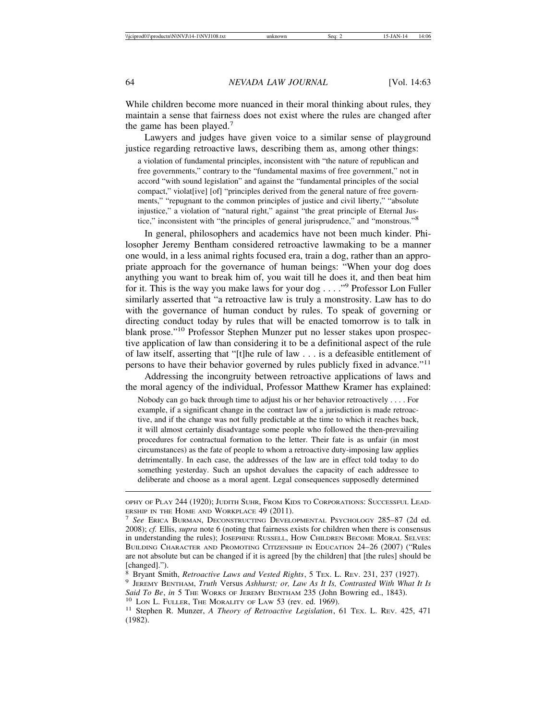While children become more nuanced in their moral thinking about rules, they maintain a sense that fairness does not exist where the rules are changed after the game has been played.<sup>7</sup>

Lawyers and judges have given voice to a similar sense of playground justice regarding retroactive laws, describing them as, among other things:

a violation of fundamental principles, inconsistent with "the nature of republican and free governments," contrary to the "fundamental maxims of free government," not in accord "with sound legislation" and against the "fundamental principles of the social compact," violat[ive] [of] "principles derived from the general nature of free governments," "repugnant to the common principles of justice and civil liberty," "absolute injustice," a violation of "natural right," against "the great principle of Eternal Justice," inconsistent with "the principles of general jurisprudence," and "monstrous."<sup>8</sup>

In general, philosophers and academics have not been much kinder. Philosopher Jeremy Bentham considered retroactive lawmaking to be a manner one would, in a less animal rights focused era, train a dog, rather than an appropriate approach for the governance of human beings: "When your dog does anything you want to break him of, you wait till he does it, and then beat him for it. This is the way you make laws for your dog . . . ."<sup>9</sup> Professor Lon Fuller similarly asserted that "a retroactive law is truly a monstrosity. Law has to do with the governance of human conduct by rules. To speak of governing or directing conduct today by rules that will be enacted tomorrow is to talk in blank prose."10 Professor Stephen Munzer put no lesser stakes upon prospective application of law than considering it to be a definitional aspect of the rule of law itself, asserting that "[t]he rule of law . . . is a defeasible entitlement of persons to have their behavior governed by rules publicly fixed in advance."<sup>11</sup>

Addressing the incongruity between retroactive applications of laws and the moral agency of the individual, Professor Matthew Kramer has explained:

Nobody can go back through time to adjust his or her behavior retroactively . . . . For example, if a significant change in the contract law of a jurisdiction is made retroactive, and if the change was not fully predictable at the time to which it reaches back, it will almost certainly disadvantage some people who followed the then-prevailing procedures for contractual formation to the letter. Their fate is as unfair (in most circumstances) as the fate of people to whom a retroactive duty-imposing law applies detrimentally. In each case, the addresses of the law are in effect told today to do something yesterday. Such an upshot devalues the capacity of each addressee to deliberate and choose as a moral agent. Legal consequences supposedly determined

OPHY OF PLAY 244 (1920); JUDITH SUHR, FROM KIDS TO CORPORATIONS: SUCCESSFUL LEAD-

ERSHIP IN THE HOME AND WORKPLACE 49 (2011). <sup>7</sup> *See* ERICA BURMAN, DECONSTRUCTING DEVELOPMENTAL PSYCHOLOGY 285–87 (2d ed. 2008); *cf.* Ellis, *supra* note 6 (noting that fairness exists for children when there is consensus in understanding the rules); JOSEPHINE RUSSELL, HOW CHILDREN BECOME MORAL SELVES: BUILDING CHARACTER AND PROMOTING CITIZENSHIP IN EDUCATION 24–26 (2007) ("Rules are not absolute but can be changed if it is agreed [by the children] that [the rules] should be [changed].").

<sup>8</sup> Bryant Smith, *Retroactive Laws and Vested Rights*, 5 TEX. L. REV. 231, 237 (1927). <sup>9</sup> JEREMY BENTHAM, *Truth* Versus *Ashhurst; or, Law As It Is, Contrasted With What It Is*

Said To Be, in 5 THE WORKS OF JEREMY BENTHAM 235 (John Bowring ed., 1843).<br><sup>10</sup> LON L. FULLER, THE MORALITY OF LAW 53 (rev. ed. 1969).<br><sup>11</sup> Stephen R. Munzer, *A Theory of Retroactive Legislation*, 61 Tex. L. Rev. 425, 471

<sup>(1982).</sup>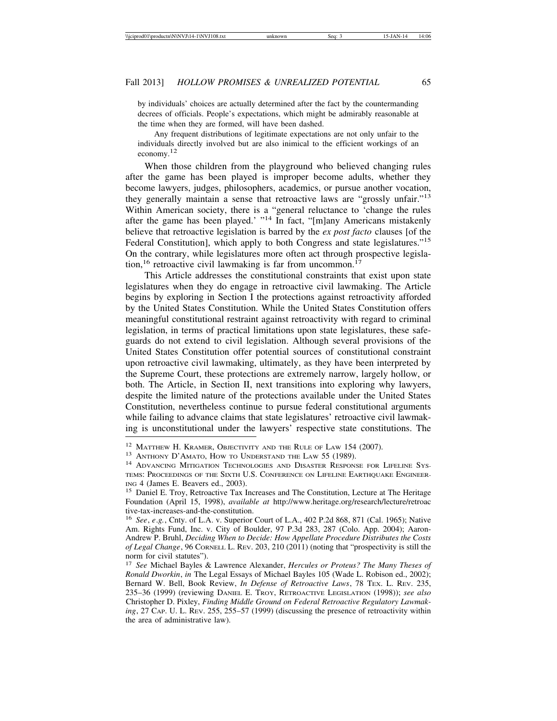by individuals' choices are actually determined after the fact by the countermanding decrees of officials. People's expectations, which might be admirably reasonable at the time when they are formed, will have been dashed.

Any frequent distributions of legitimate expectations are not only unfair to the individuals directly involved but are also inimical to the efficient workings of an economy.12

When those children from the playground who believed changing rules after the game has been played is improper become adults, whether they become lawyers, judges, philosophers, academics, or pursue another vocation, they generally maintain a sense that retroactive laws are "grossly unfair."<sup>13</sup> Within American society, there is a "general reluctance to 'change the rules after the game has been played.' "<sup>14</sup> In fact, "[m]any Americans mistakenly believe that retroactive legislation is barred by the *ex post facto* clauses [of the Federal Constitution], which apply to both Congress and state legislatures.<sup>"15</sup> On the contrary, while legislatures more often act through prospective legislation,<sup>16</sup> retroactive civil lawmaking is far from uncommon.<sup>17</sup>

This Article addresses the constitutional constraints that exist upon state legislatures when they do engage in retroactive civil lawmaking. The Article begins by exploring in Section I the protections against retroactivity afforded by the United States Constitution. While the United States Constitution offers meaningful constitutional restraint against retroactivity with regard to criminal legislation, in terms of practical limitations upon state legislatures, these safeguards do not extend to civil legislation. Although several provisions of the United States Constitution offer potential sources of constitutional constraint upon retroactive civil lawmaking, ultimately, as they have been interpreted by the Supreme Court, these protections are extremely narrow, largely hollow, or both. The Article, in Section II, next transitions into exploring why lawyers, despite the limited nature of the protections available under the United States Constitution, nevertheless continue to pursue federal constitutional arguments while failing to advance claims that state legislatures' retroactive civil lawmaking is unconstitutional under the lawyers' respective state constitutions. The

<sup>&</sup>lt;sup>12</sup> Matthew H. Kramer, Objectivity and the Rule of Law 154 (2007).<br><sup>13</sup> Anthony D'Amato, How to Understand the Law 55 (1989).<br><sup>14</sup> Advancing Mitigation Technologies and Disaster Response for Lifeline Sys-TEMS: PROCEEDINGS OF THE SIXTH U.S. CONFERENCE ON LIFELINE EARTHQUAKE ENGINEER-ING 4 (James E. Beavers ed., 2003). <sup>15</sup> Daniel E. Troy, Retroactive Tax Increases and The Constitution, Lecture at The Heritage

Foundation (April 15, 1998), *available at* http://www.heritage.org/research/lecture/retroac tive-tax-increases-and-the-constitution.

<sup>16</sup> *See*, *e*.*g.*, Cnty. of L.A. v. Superior Court of L.A., 402 P.2d 868, 871 (Cal. 1965); Native Am. Rights Fund, Inc. v. City of Boulder, 97 P.3d 283, 287 (Colo. App. 2004); Aaron-Andrew P. Bruhl, *Deciding When to Decide: How Appellate Procedure Distributes the Costs of Legal Change*, 96 CORNELL L. REV. 203, 210 (2011) (noting that "prospectivity is still the norm for civil statutes").

<sup>17</sup> *See* Michael Bayles & Lawrence Alexander, *Hercules or Proteus? The Many Theses of Ronald Dworkin*, *in* The Legal Essays of Michael Bayles 105 (Wade L. Robison ed., 2002); Bernard W. Bell, Book Review, *In Defense of Retroactive Laws*, 78 TEX. L. REV. 235, 235–36 (1999) (reviewing DANIEL E. TROY, RETROACTIVE LEGISLATION (1998)); *see also* Christopher D. Pixley, *Finding Middle Ground on Federal Retroactive Regulatory Lawmaking*, 27 CAP. U. L. REV. 255, 255–57 (1999) (discussing the presence of retroactivity within the area of administrative law).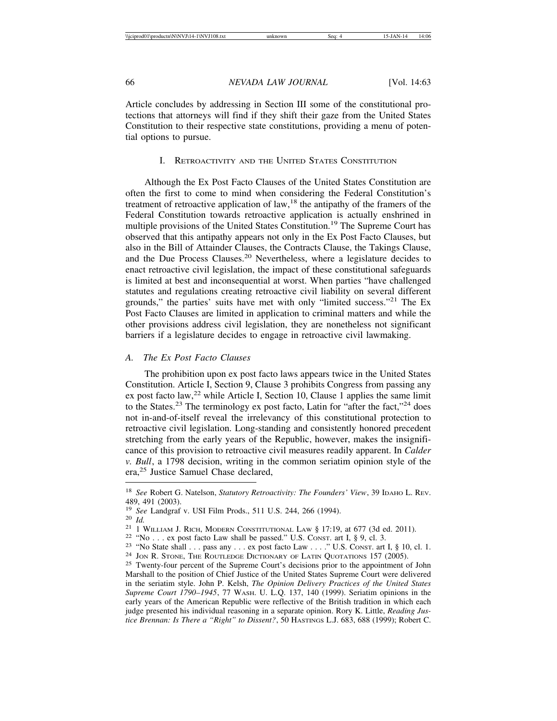Article concludes by addressing in Section III some of the constitutional protections that attorneys will find if they shift their gaze from the United States Constitution to their respective state constitutions, providing a menu of potential options to pursue.

#### I. RETROACTIVITY AND THE UNITED STATES CONSTITUTION

Although the Ex Post Facto Clauses of the United States Constitution are often the first to come to mind when considering the Federal Constitution's treatment of retroactive application of  $law<sup>18</sup>$ , the antipathy of the framers of the Federal Constitution towards retroactive application is actually enshrined in multiple provisions of the United States Constitution.<sup>19</sup> The Supreme Court has observed that this antipathy appears not only in the Ex Post Facto Clauses, but also in the Bill of Attainder Clauses, the Contracts Clause, the Takings Clause, and the Due Process Clauses.20 Nevertheless, where a legislature decides to enact retroactive civil legislation, the impact of these constitutional safeguards is limited at best and inconsequential at worst. When parties "have challenged statutes and regulations creating retroactive civil liability on several different grounds," the parties' suits have met with only "limited success."21 The Ex Post Facto Clauses are limited in application to criminal matters and while the other provisions address civil legislation, they are nonetheless not significant barriers if a legislature decides to engage in retroactive civil lawmaking.

#### *A. The Ex Post Facto Clauses*

The prohibition upon ex post facto laws appears twice in the United States Constitution. Article I, Section 9, Clause 3 prohibits Congress from passing any ex post facto law,<sup>22</sup> while Article I, Section 10, Clause 1 applies the same limit to the States.<sup>23</sup> The terminology ex post facto, Latin for "after the fact,"<sup>24</sup> does not in-and-of-itself reveal the irrelevancy of this constitutional protection to retroactive civil legislation. Long-standing and consistently honored precedent stretching from the early years of the Republic, however, makes the insignificance of this provision to retroactive civil measures readily apparent. In *Calder v. Bull*, a 1798 decision, writing in the common seriatim opinion style of the era,25 Justice Samuel Chase declared,

<sup>18</sup> *See* Robert G. Natelson, *Statutory Retroactivity: The Founders' View*, 39 IDAHO L. REV. 489, 491 (2003).<br><sup>19</sup> *See* Landgraf v. USI Film Prods., 511 U.S. 244, 266 (1994).

<sup>&</sup>lt;sup>20</sup> *Id.*<br>
<sup>21</sup> 1 WILLIAM J. RICH, MODERN CONSTITUTIONAL LAW § 17:19, at 677 (3d ed. 2011).<br>
<sup>22</sup> "No . . . ex post facto Law shall be passed." U.S. CONST. art I, § 9, cl. 3.<br>
<sup>23</sup> "No State shall . . . pass any . . . ex

Marshall to the position of Chief Justice of the United States Supreme Court were delivered in the seriatim style. John P. Kelsh, *The Opinion Delivery Practices of the United States Supreme Court 1790–1945*, 77 WASH. U. L.Q. 137, 140 (1999). Seriatim opinions in the early years of the American Republic were reflective of the British tradition in which each judge presented his individual reasoning in a separate opinion. Rory K. Little, *Reading Justice Brennan: Is There a "Right" to Dissent?*, 50 HASTINGS L.J. 683, 688 (1999); Robert C.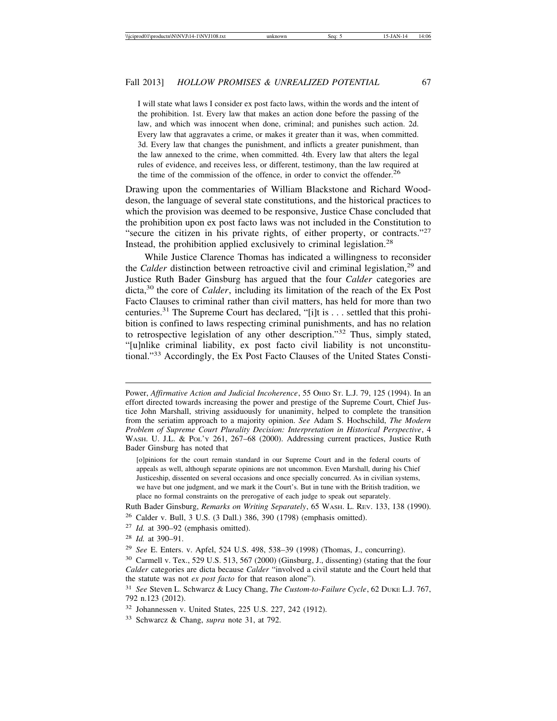I will state what laws I consider ex post facto laws, within the words and the intent of the prohibition. 1st. Every law that makes an action done before the passing of the law, and which was innocent when done, criminal; and punishes such action. 2d. Every law that aggravates a crime, or makes it greater than it was, when committed. 3d. Every law that changes the punishment, and inflicts a greater punishment, than the law annexed to the crime, when committed. 4th. Every law that alters the legal rules of evidence, and receives less, or different, testimony, than the law required at the time of the commission of the offence, in order to convict the offender.<sup>26</sup>

Drawing upon the commentaries of William Blackstone and Richard Wooddeson, the language of several state constitutions, and the historical practices to which the provision was deemed to be responsive, Justice Chase concluded that the prohibition upon ex post facto laws was not included in the Constitution to "secure the citizen in his private rights, of either property, or contracts."<sup>27</sup> Instead, the prohibition applied exclusively to criminal legislation.<sup>28</sup>

While Justice Clarence Thomas has indicated a willingness to reconsider the *Calder* distinction between retroactive civil and criminal legislation,<sup>29</sup> and Justice Ruth Bader Ginsburg has argued that the four *Calder* categories are dicta,<sup>30</sup> the core of *Calder*, including its limitation of the reach of the Ex Post Facto Clauses to criminal rather than civil matters, has held for more than two centuries.<sup>31</sup> The Supreme Court has declared, "[i]t is  $\dots$  settled that this prohibition is confined to laws respecting criminal punishments, and has no relation to retrospective legislation of any other description."32 Thus, simply stated, "[u]nlike criminal liability, ex post facto civil liability is not unconstitutional."33 Accordingly, the Ex Post Facto Clauses of the United States Consti-

Ruth Bader Ginsburg, *Remarks on Writing Separately*, 65 WASH. L. REV. 133, 138 (1990).

Power, *Affirmative Action and Judicial Incoherence*, 55 OHIO ST. L.J. 79, 125 (1994). In an effort directed towards increasing the power and prestige of the Supreme Court, Chief Justice John Marshall, striving assiduously for unanimity, helped to complete the transition from the seriatim approach to a majority opinion. *See* Adam S. Hochschild, *The Modern Problem of Supreme Court Plurality Decision: Interpretation in Historical Perspective*, 4 WASH. U. J.L. & POL'Y 261, 267–68 (2000). Addressing current practices, Justice Ruth Bader Ginsburg has noted that

<sup>[</sup>o]pinions for the court remain standard in our Supreme Court and in the federal courts of appeals as well, although separate opinions are not uncommon. Even Marshall, during his Chief Justiceship, dissented on several occasions and once specially concurred. As in civilian systems, we have but one judgment, and we mark it the Court's. But in tune with the British tradition, we place no formal constraints on the prerogative of each judge to speak out separately.

<sup>26</sup> Calder v. Bull, 3 U.S. (3 Dall.) 386, 390 (1798) (emphasis omitted).

<sup>27</sup> *Id.* at 390–92 (emphasis omitted).

<sup>28</sup> *Id.* at 390–91.

<sup>29</sup> *See* E. Enters. v. Apfel, 524 U.S. 498, 538–39 (1998) (Thomas, J., concurring).

<sup>30</sup> Carmell v. Tex., 529 U.S. 513, 567 (2000) (Ginsburg, J., dissenting) (stating that the four *Calder* categories are dicta because *Calder* "involved a civil statute and the Court held that the statute was not *ex post facto* for that reason alone").

<sup>31</sup> *See* Steven L. Schwarcz & Lucy Chang, *The Custom-to-Failure Cycle*, 62 DUKE L.J. 767, 792 n.123 (2012).

<sup>32</sup> Johannessen v. United States, 225 U.S. 227, 242 (1912).

<sup>33</sup> Schwarcz & Chang, *supra* note 31, at 792.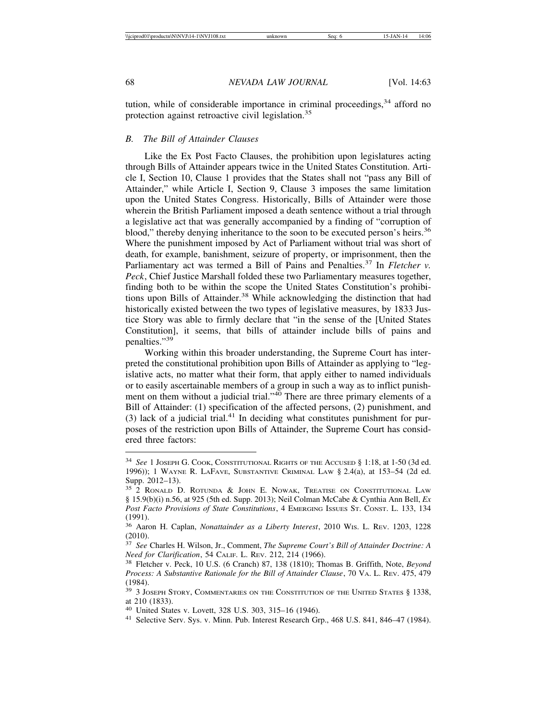tution, while of considerable importance in criminal proceedings,  $34$  afford no protection against retroactive civil legislation.<sup>35</sup>

#### *B. The Bill of Attainder Clauses*

Like the Ex Post Facto Clauses, the prohibition upon legislatures acting through Bills of Attainder appears twice in the United States Constitution. Article I, Section 10, Clause 1 provides that the States shall not "pass any Bill of Attainder," while Article I, Section 9, Clause 3 imposes the same limitation upon the United States Congress. Historically, Bills of Attainder were those wherein the British Parliament imposed a death sentence without a trial through a legislative act that was generally accompanied by a finding of "corruption of blood," thereby denying inheritance to the soon to be executed person's heirs.<sup>36</sup> Where the punishment imposed by Act of Parliament without trial was short of death, for example, banishment, seizure of property, or imprisonment, then the Parliamentary act was termed a Bill of Pains and Penalties.<sup>37</sup> In *Fletcher v*. *Peck*, Chief Justice Marshall folded these two Parliamentary measures together, finding both to be within the scope the United States Constitution's prohibitions upon Bills of Attainder.<sup>38</sup> While acknowledging the distinction that had historically existed between the two types of legislative measures, by 1833 Justice Story was able to firmly declare that "in the sense of the [United States Constitution], it seems, that bills of attainder include bills of pains and penalties."<sup>39</sup>

Working within this broader understanding, the Supreme Court has interpreted the constitutional prohibition upon Bills of Attainder as applying to "legislative acts, no matter what their form, that apply either to named individuals or to easily ascertainable members of a group in such a way as to inflict punishment on them without a judicial trial."40 There are three primary elements of a Bill of Attainder: (1) specification of the affected persons, (2) punishment, and (3) lack of a judicial trial.<sup>41</sup> In deciding what constitutes punishment for purposes of the restriction upon Bills of Attainder, the Supreme Court has considered three factors:

<sup>34</sup> *See* 1 JOSEPH G. COOK, CONSTITUTIONAL RIGHTS OF THE ACCUSED § 1:18, at 1-50 (3d ed. 1996)); 1 WAYNE R. LAFAVE, SUBSTANTIVE CRIMINAL LAW § 2.4(a), at 153–54 (2d ed. Supp. 2012–13).

<sup>35</sup> 2 RONALD D. ROTUNDA & JOHN E. NOWAK, TREATISE ON CONSTITUTIONAL LAW § 15.9(b)(i) n.56, at 925 (5th ed. Supp. 2013); Neil Colman McCabe & Cynthia Ann Bell, *Ex Post Facto Provisions of State Constitutions*, 4 EMERGING ISSUES ST. CONST. L. 133, 134 (1991).

<sup>36</sup> Aaron H. Caplan, *Nonattainder as a Liberty Interest*, 2010 WIS. L. REV. 1203, 1228 (2010).

<sup>37</sup> *See* Charles H. Wilson, Jr., Comment, *The Supreme Court's Bill of Attainder Doctrine: A Need for Clarification*, 54 CALIF. L. REV. 212, 214 (1966).

<sup>38</sup> Fletcher v. Peck, 10 U.S. (6 Cranch) 87, 138 (1810); Thomas B. Griffith, Note, *Beyond Process: A Substantive Rationale for the Bill of Attainder Clause*, 70 VA. L. REV. 475, 479 (1984).

<sup>&</sup>lt;sup>39</sup> 3 JOSEPH STORY, COMMENTARIES ON THE CONSTITUTION OF THE UNITED STATES § 1338, at 210 (1833).<br><sup>40</sup> United States v. Lovett, 328 U.S. 303, 315–16 (1946).

<sup>&</sup>lt;sup>41</sup> Selective Serv. Sys. v. Minn. Pub. Interest Research Grp., 468 U.S. 841, 846–47 (1984).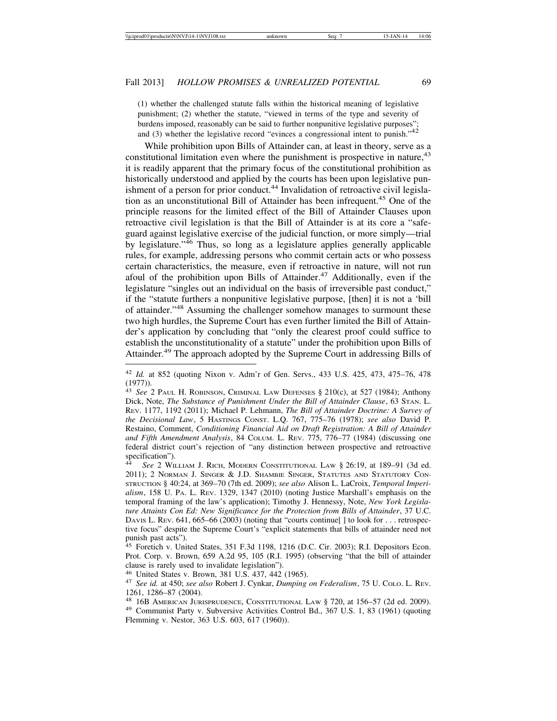(1) whether the challenged statute falls within the historical meaning of legislative punishment; (2) whether the statute, "viewed in terms of the type and severity of burdens imposed, reasonably can be said to further nonpunitive legislative purposes"; and (3) whether the legislative record "evinces a congressional intent to punish."<sup>42</sup>

While prohibition upon Bills of Attainder can, at least in theory, serve as a constitutional limitation even where the punishment is prospective in nature,<sup>43</sup> it is readily apparent that the primary focus of the constitutional prohibition as historically understood and applied by the courts has been upon legislative punishment of a person for prior conduct.<sup>44</sup> Invalidation of retroactive civil legislation as an unconstitutional Bill of Attainder has been infrequent.45 One of the principle reasons for the limited effect of the Bill of Attainder Clauses upon retroactive civil legislation is that the Bill of Attainder is at its core a "safeguard against legislative exercise of the judicial function, or more simply—trial by legislature."46 Thus, so long as a legislature applies generally applicable rules, for example, addressing persons who commit certain acts or who possess certain characteristics, the measure, even if retroactive in nature, will not run afoul of the prohibition upon Bills of Attainder.<sup>47</sup> Additionally, even if the legislature "singles out an individual on the basis of irreversible past conduct," if the "statute furthers a nonpunitive legislative purpose, [then] it is not a 'bill of attainder."48 Assuming the challenger somehow manages to surmount these two high hurdles, the Supreme Court has even further limited the Bill of Attainder's application by concluding that "only the clearest proof could suffice to establish the unconstitutionality of a statute" under the prohibition upon Bills of Attainder.49 The approach adopted by the Supreme Court in addressing Bills of

<sup>42</sup> *Id.* at 852 (quoting Nixon v. Adm'r of Gen. Servs., 433 U.S. 425, 473, 475–76, 478 (1977)).

<sup>43</sup> *See* 2 PAUL H. ROBINSON, CRIMINAL LAW DEFENSES § 210(c), at 527 (1984); Anthony Dick, Note, *The Substance of Punishment Under the Bill of Attainder Clause*, 63 STAN. L. REV. 1177, 1192 (2011); Michael P. Lehmann, *The Bill of Attainder Doctrine: A Survey of the Decisional Law*, 5 HASTINGS CONST. L.Q. 767, 775–76 (1978); *see also* David P. Restaino, Comment, *Conditioning Financial Aid on Draft Registration: A Bill of Attainder and Fifth Amendment Analysis*, 84 COLUM. L. REV. 775, 776–77 (1984) (discussing one federal district court's rejection of "any distinction between prospective and retroactive specification").

See 2 WILLIAM J. RICH, MODERN CONSTITUTIONAL LAW § 26:19, at 189-91 (3d ed. 2011); 2 NORMAN J. SINGER & J.D. SHAMBIE SINGER, STATUTES AND STATUTORY CON-STRUCTION § 40:24, at 369–70 (7th ed. 2009); *see also* Alison L. LaCroix, *Temporal Imperialism*, 158 U. PA. L. REV. 1329, 1347 (2010) (noting Justice Marshall's emphasis on the temporal framing of the law's application); Timothy J. Hennessy, Note, *New York Legislature Attaints Con Ed: New Significance for the Protection from Bills of Attainder*, 37 U.C. DAVIS L. REV. 641, 665–66 (2003) (noting that "courts continue[] to look for . . . retrospective focus" despite the Supreme Court's "explicit statements that bills of attainder need not punish past acts").

<sup>45</sup> Foretich v. United States, 351 F.3d 1198, 1216 (D.C. Cir. 2003); R.I. Depositors Econ. Prot. Corp. v. Brown, 659 A.2d 95, 105 (R.I. 1995) (observing "that the bill of attainder clause is rarely used to invalidate legislation").

<sup>46</sup> United States v. Brown, 381 U.S. 437, 442 (1965). <sup>47</sup> *See id.* at 450; *see also* Robert J. Cynkar, *Dumping on Federalism*, 75 U. COLO. L. REV. 1261, 1286–87 (2004).<br><sup>48</sup> 16B American Jurisprudence, Constitutional Law § 720, at 156–57 (2d ed. 2009).

<sup>&</sup>lt;sup>49</sup> Communist Party v. Subversive Activities Control Bd., 367 U.S. 1, 83 (1961) (quoting Flemming v. Nestor, 363 U.S. 603, 617 (1960)).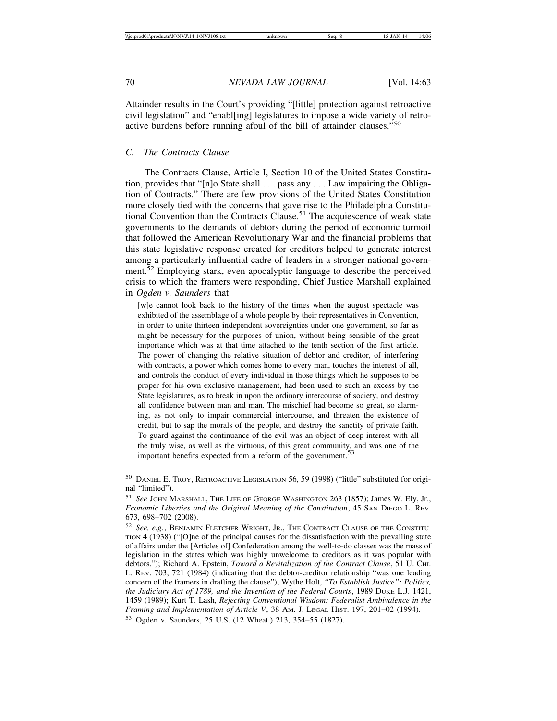Attainder results in the Court's providing "[little] protection against retroactive civil legislation" and "enabl[ing] legislatures to impose a wide variety of retroactive burdens before running afoul of the bill of attainder clauses."<sup>50</sup>

### *C. The Contracts Clause*

The Contracts Clause, Article I, Section 10 of the United States Constitution, provides that "[n]o State shall . . . pass any . . . Law impairing the Obligation of Contracts." There are few provisions of the United States Constitution more closely tied with the concerns that gave rise to the Philadelphia Constitutional Convention than the Contracts Clause.51 The acquiescence of weak state governments to the demands of debtors during the period of economic turmoil that followed the American Revolutionary War and the financial problems that this state legislative response created for creditors helped to generate interest among a particularly influential cadre of leaders in a stronger national government.52 Employing stark, even apocalyptic language to describe the perceived crisis to which the framers were responding, Chief Justice Marshall explained in *Ogden v. Saunders* that

[w]e cannot look back to the history of the times when the august spectacle was exhibited of the assemblage of a whole people by their representatives in Convention, in order to unite thirteen independent sovereignties under one government, so far as might be necessary for the purposes of union, without being sensible of the great importance which was at that time attached to the tenth section of the first article. The power of changing the relative situation of debtor and creditor, of interfering with contracts, a power which comes home to every man, touches the interest of all, and controls the conduct of every individual in those things which he supposes to be proper for his own exclusive management, had been used to such an excess by the State legislatures, as to break in upon the ordinary intercourse of society, and destroy all confidence between man and man. The mischief had become so great, so alarming, as not only to impair commercial intercourse, and threaten the existence of credit, but to sap the morals of the people, and destroy the sanctity of private faith. To guard against the continuance of the evil was an object of deep interest with all the truly wise, as well as the virtuous, of this great community, and was one of the important benefits expected from a reform of the government.<sup>53</sup>

<sup>50</sup> DANIEL E. TROY, RETROACTIVE LEGISLATION 56, 59 (1998) ("little" substituted for original "limited").

<sup>51</sup> *See* JOHN MARSHALL, THE LIFE OF GEORGE WASHINGTON 263 (1857); James W. Ely, Jr., *Economic Liberties and the Original Meaning of the Constitution*, 45 SAN DIEGO L. REV. 673, 698–702 (2008).

<sup>52</sup> *See, e.g.*, BENJAMIN FLETCHER WRIGHT, JR., THE CONTRACT CLAUSE OF THE CONSTITU-TION 4 (1938) ("[O]ne of the principal causes for the dissatisfaction with the prevailing state of affairs under the [Articles of] Confederation among the well-to-do classes was the mass of legislation in the states which was highly unwelcome to creditors as it was popular with debtors."); Richard A. Epstein, *Toward a Revitalization of the Contract Clause*, 51 U. CHI. L. REV. 703, 721 (1984) (indicating that the debtor-creditor relationship "was one leading concern of the framers in drafting the clause"); Wythe Holt, *"To Establish Justice": Politics, the Judiciary Act of 1789, and the Invention of the Federal Courts*, 1989 DUKE L.J. 1421, 1459 (1989); Kurt T. Lash, *Rejecting Conventional Wisdom: Federalist Ambivalence in the Framing and Implementation of Article V*, 38 AM. J. LEGAL HIST. 197, 201–02 (1994). <sup>53</sup> Ogden v. Saunders, 25 U.S. (12 Wheat.) 213, 354–55 (1827).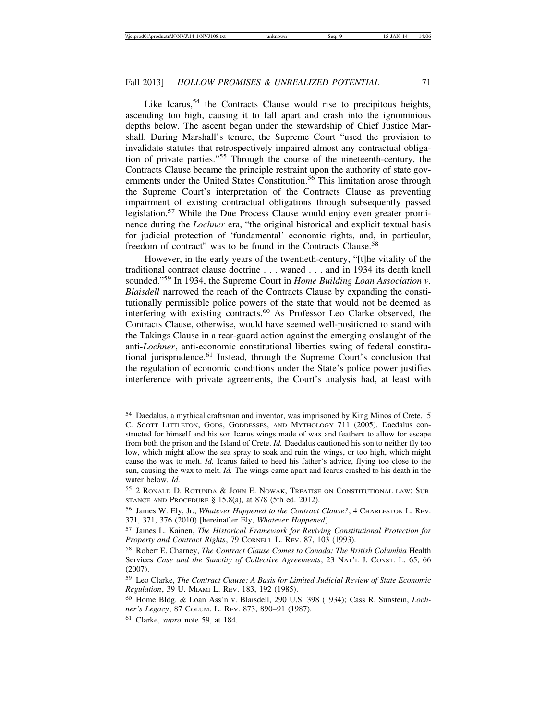Like Icarus,  $54$  the Contracts Clause would rise to precipitous heights, ascending too high, causing it to fall apart and crash into the ignominious depths below. The ascent began under the stewardship of Chief Justice Marshall. During Marshall's tenure, the Supreme Court "used the provision to invalidate statutes that retrospectively impaired almost any contractual obligation of private parties."55 Through the course of the nineteenth-century, the Contracts Clause became the principle restraint upon the authority of state governments under the United States Constitution.<sup>56</sup> This limitation arose through the Supreme Court's interpretation of the Contracts Clause as preventing impairment of existing contractual obligations through subsequently passed legislation.<sup>57</sup> While the Due Process Clause would enjoy even greater prominence during the *Lochner* era, "the original historical and explicit textual basis for judicial protection of 'fundamental' economic rights, and, in particular, freedom of contract" was to be found in the Contracts Clause.<sup>58</sup>

However, in the early years of the twentieth-century, "[t]he vitality of the traditional contract clause doctrine . . . waned . . . and in 1934 its death knell sounded."59 In 1934, the Supreme Court in *Home Building Loan Association v. Blaisdell* narrowed the reach of the Contracts Clause by expanding the constitutionally permissible police powers of the state that would not be deemed as interfering with existing contracts.<sup>60</sup> As Professor Leo Clarke observed, the Contracts Clause, otherwise, would have seemed well-positioned to stand with the Takings Clause in a rear-guard action against the emerging onslaught of the anti-*Lochner*, anti-economic constitutional liberties swing of federal constitutional jurisprudence.61 Instead, through the Supreme Court's conclusion that the regulation of economic conditions under the State's police power justifies interference with private agreements, the Court's analysis had, at least with

<sup>54</sup> Daedalus, a mythical craftsman and inventor, was imprisoned by King Minos of Crete. 5 C. SCOTT LITTLETON, GODS, GODDESSES, AND MYTHOLOGY 711 (2005). Daedalus constructed for himself and his son Icarus wings made of wax and feathers to allow for escape from both the prison and the Island of Crete. *Id.* Daedalus cautioned his son to neither fly too low, which might allow the sea spray to soak and ruin the wings, or too high, which might cause the wax to melt. *Id.* Icarus failed to heed his father's advice, flying too close to the sun, causing the wax to melt. *Id.* The wings came apart and Icarus crashed to his death in the water below. *Id.*

<sup>55</sup> 2 RONALD D. ROTUNDA & JOHN E. NOWAK, TREATISE ON CONSTITUTIONAL LAW: SUB-STANCE AND PROCEDURE § 15.8(a), at 878 (5th ed. 2012).

<sup>56</sup> James W. Ely, Jr., *Whatever Happened to the Contract Clause?*, 4 CHARLESTON L. REV. 371, 371, 376 (2010) [hereinafter Ely, *Whatever Happened*].

<sup>57</sup> James L. Kainen, *The Historical Framework for Reviving Constitutional Protection for Property and Contract Rights*, 79 CORNELL L. REV. 87, 103 (1993).

<sup>58</sup> Robert E. Charney, *The Contract Clause Comes to Canada: The British Columbia* Health Services *Case and the Sanctity of Collective Agreements*, 23 NAT'L J. CONST. L. 65, 66 (2007).

<sup>59</sup> Leo Clarke, *The Contract Clause: A Basis for Limited Judicial Review of State Economic Regulation*, 39 U. MIAMI L. REV. 183, 192 (1985).

<sup>60</sup> Home Bldg. & Loan Ass'n v. Blaisdell, 290 U.S. 398 (1934); Cass R. Sunstein, *Lochner's Legacy*, 87 COLUM. L. REV. 873, 890–91 (1987).

<sup>61</sup> Clarke, *supra* note 59, at 184.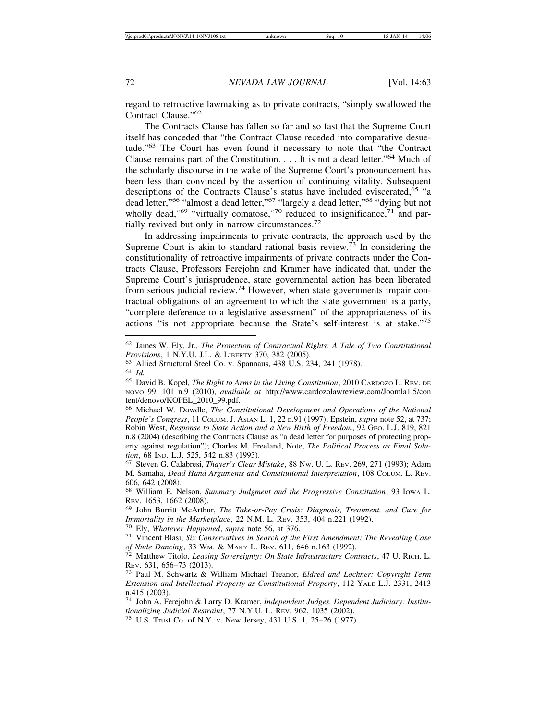regard to retroactive lawmaking as to private contracts, "simply swallowed the Contract Clause."<sup>62</sup>

The Contracts Clause has fallen so far and so fast that the Supreme Court itself has conceded that "the Contract Clause receded into comparative desuetude."63 The Court has even found it necessary to note that "the Contract Clause remains part of the Constitution. . . . It is not a dead letter."64 Much of the scholarly discourse in the wake of the Supreme Court's pronouncement has been less than convinced by the assertion of continuing vitality. Subsequent descriptions of the Contracts Clause's status have included eviscerated,<sup>65</sup> "a dead letter,"66 "almost a dead letter,"67 "largely a dead letter,"68 "dying but not wholly dead," $69$  "virtually comatose,"<sup>70</sup> reduced to insignificance, $71$  and partially revived but only in narrow circumstances.<sup>72</sup>

In addressing impairments to private contracts, the approach used by the Supreme Court is akin to standard rational basis review.<sup>73</sup> In considering the constitutionality of retroactive impairments of private contracts under the Contracts Clause, Professors Ferejohn and Kramer have indicated that, under the Supreme Court's jurisprudence, state governmental action has been liberated from serious judicial review.<sup>74</sup> However, when state governments impair contractual obligations of an agreement to which the state government is a party, "complete deference to a legislative assessment" of the appropriateness of its actions "is not appropriate because the State's self-interest is at stake."<sup>75</sup>

<sup>62</sup> James W. Ely, Jr., *The Protection of Contractual Rights: A Tale of Two Constitutional*

<sup>&</sup>lt;sup>63</sup> Allied Structural Steel Co. v. Spannaus, 438 U.S. 234, 241 (1978).<br><sup>64</sup> Id.<br><sup>65</sup> David B. Kopel, *The Right to Arms in the Living Constitution*, 2010 CARDOZO L. REV. DE NOVO 99, 101 n.9 (2010), *available at* http://www.cardozolawreview.com/Joomla1.5/con tent/denovo/KOPEL\_2010\_99.pdf.

<sup>66</sup> Michael W. Dowdle, *The Constitutional Development and Operations of the National People's Congress*, 11 COLUM. J. ASIAN L. 1, 22 n.91 (1997); Epstein, *supra* note 52, at 737; Robin West, *Response to State Action and a New Birth of Freedom*, 92 GEO. L.J. 819, 821 n.8 (2004) (describing the Contracts Clause as "a dead letter for purposes of protecting property against regulation"); Charles M. Freeland, Note, *The Political Process as Final Solu-*

<sup>&</sup>lt;sup>67</sup> Steven G. Calabresi, *Thayer's Clear Mistake*, 88 Nw. U. L. Rev. 269, 271 (1993); Adam M. Samaha, *Dead Hand Arguments and Constitutional Interpretation*, 108 COLUM. L. REV. 606, 642 (2008).

<sup>68</sup> William E. Nelson, *Summary Judgment and the Progressive Constitution*, 93 IOWA L.

<sup>&</sup>lt;sup>69</sup> John Burritt McArthur, *The Take-or-Pay Crisis: Diagnosis, Treatment, and Cure for Immortality in the Marketplace, 22 N.M. L. Rev. 353, 404 n.221 (1992).* 

<sup>&</sup>lt;sup>70</sup> Ely, *Whatever Happened, supra* note 56, at 376.<br><sup>71</sup> Vincent Blasi, *Six Conservatives in Search of the First Amendment: The Revealing Case* 

*of Nude Dancing*, 33 WM. & MARY L. REV. 611, 646 n.163 (1992).<br><sup>72</sup> Matthew Titolo, *Leasing Sovereignty: On State Infrastructure Contracts*, 47 U. RICH. L.<br>REV. 631, 656–73 (2013).

REV. 631, 656–73 (2013). <sup>73</sup> Paul M. Schwartz & William Michael Treanor, *Eldred and Lochner: Copyright Term Extension and Intellectual Property as Constitutional Property*, 112 YALE L.J. 2331, 2413 n.415 (2003).

<sup>74</sup> John A. Ferejohn & Larry D. Kramer, *Independent Judges, Dependent Judiciary: Institu-*

<sup>&</sup>lt;sup>75</sup> U.S. Trust Co. of N.Y. v. New Jersey, 431 U.S. 1, 25–26 (1977).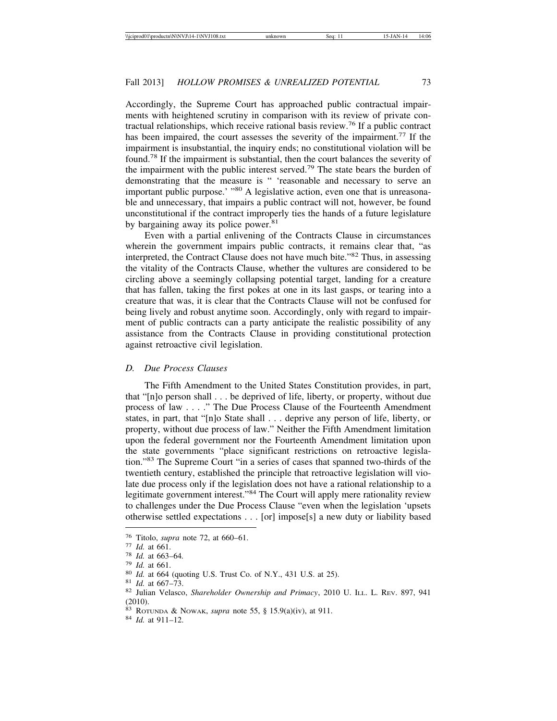Accordingly, the Supreme Court has approached public contractual impairments with heightened scrutiny in comparison with its review of private contractual relationships, which receive rational basis review.76 If a public contract has been impaired, the court assesses the severity of the impairment.<sup>77</sup> If the impairment is insubstantial, the inquiry ends; no constitutional violation will be found.78 If the impairment is substantial, then the court balances the severity of the impairment with the public interest served.79 The state bears the burden of demonstrating that the measure is " 'reasonable and necessary to serve an important public purpose.' "<sup>80</sup> A legislative action, even one that is unreasonable and unnecessary, that impairs a public contract will not, however, be found unconstitutional if the contract improperly ties the hands of a future legislature by bargaining away its police power.<sup>81</sup>

Even with a partial enlivening of the Contracts Clause in circumstances wherein the government impairs public contracts, it remains clear that, "as interpreted, the Contract Clause does not have much bite."82 Thus, in assessing the vitality of the Contracts Clause, whether the vultures are considered to be circling above a seemingly collapsing potential target, landing for a creature that has fallen, taking the first pokes at one in its last gasps, or tearing into a creature that was, it is clear that the Contracts Clause will not be confused for being lively and robust anytime soon. Accordingly, only with regard to impairment of public contracts can a party anticipate the realistic possibility of any assistance from the Contracts Clause in providing constitutional protection against retroactive civil legislation.

#### *D. Due Process Clauses*

The Fifth Amendment to the United States Constitution provides, in part, that "[n]o person shall . . . be deprived of life, liberty, or property, without due process of law . . . ." The Due Process Clause of the Fourteenth Amendment states, in part, that "[n]o State shall . . . deprive any person of life, liberty, or property, without due process of law." Neither the Fifth Amendment limitation upon the federal government nor the Fourteenth Amendment limitation upon the state governments "place significant restrictions on retroactive legislation."83 The Supreme Court "in a series of cases that spanned two-thirds of the twentieth century, established the principle that retroactive legislation will violate due process only if the legislation does not have a rational relationship to a legitimate government interest."84 The Court will apply mere rationality review to challenges under the Due Process Clause "even when the legislation 'upsets otherwise settled expectations . . . [or] impose[s] a new duty or liability based

<sup>&</sup>lt;sup>76</sup> Titolo, *supra* note 72, at 660–61.<br>
<sup>77</sup> Id. at 661.<br>
<sup>78</sup> Id. at 663–64.<br>
<sup>79</sup> Id. at 664 (quoting U.S. Trust Co. of N.Y., 431 U.S. at 25).<br>
<sup>80</sup> Id. at 667–73.<br>
<sup>81</sup> Id. at 667–73.<br>
<sup>82</sup> Julian Velasco, *Sharehold* (2010).

<sup>83</sup> ROTUNDA & NOWAK, *supra* note 55, § 15.9(a)(iv), at 911. <sup>84</sup> *Id.* at 911–12.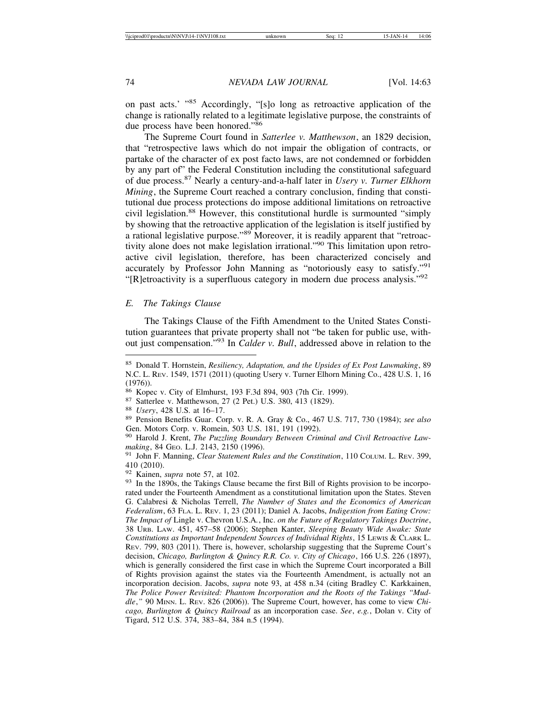on past acts.' "85 Accordingly, "[s]o long as retroactive application of the change is rationally related to a legitimate legislative purpose, the constraints of due process have been honored."<sup>86</sup>

The Supreme Court found in *Satterlee v. Matthewson*, an 1829 decision, that "retrospective laws which do not impair the obligation of contracts, or partake of the character of ex post facto laws, are not condemned or forbidden by any part of" the Federal Constitution including the constitutional safeguard of due process.87 Nearly a century-and-a-half later in *Usery v. Turner Elkhorn Mining*, the Supreme Court reached a contrary conclusion, finding that constitutional due process protections do impose additional limitations on retroactive civil legislation.88 However, this constitutional hurdle is surmounted "simply by showing that the retroactive application of the legislation is itself justified by a rational legislative purpose."89 Moreover, it is readily apparent that "retroactivity alone does not make legislation irrational."90 This limitation upon retroactive civil legislation, therefore, has been characterized concisely and accurately by Professor John Manning as "notoriously easy to satisfy."<sup>91</sup> "[R]etroactivity is a superfluous category in modern due process analysis."<sup>92</sup>

#### *E. The Takings Clause*

The Takings Clause of the Fifth Amendment to the United States Constitution guarantees that private property shall not "be taken for public use, without just compensation."93 In *Calder v. Bull*, addressed above in relation to the

<sup>85</sup> Donald T. Hornstein, *Resiliency, Adaptation, and the Upsides of Ex Post Lawmaking*, 89 N.C. L. REV. 1549, 1571 (2011) (quoting Usery v. Turner Elhorn Mining Co., 428 U.S. 1, 16 (1976)).<br><sup>86</sup> Kopec v. City of Elmhurst, 193 F.3d 894, 903 (7th Cir. 1999).

<sup>&</sup>lt;sup>87</sup> Satterlee v. Matthewson, 27 (2 Pet.) U.S. 380, 413 (1829).<br><sup>88</sup> *Usery*, 428 U.S. at 16–17.<br><sup>89</sup> Pension Benefits Guar. Corp. v. R. A. Gray & Co., 467 U.S. 717, 730 (1984); *see also* Gen. Motors Corp. v. Romein, 503 U.S. 181, 191 (1992).

<sup>90</sup> Harold J. Krent, *The Puzzling Boundary Between Criminal and Civil Retroactive Lawmaking*, 84 GEO. L.J. 2143, 2150 (1996). <sup>91</sup> John F. Manning, *Clear Statement Rules and the Constitution*, 110 COLUM. L. REV. 399,

<sup>410 (2010).&</sup>lt;br><sup>92</sup> Kainen, *supra* note 57, at 102.

<sup>&</sup>lt;sup>93</sup> In the 1890s, the Takings Clause became the first Bill of Rights provision to be incorporated under the Fourteenth Amendment as a constitutional limitation upon the States. Steven G. Calabresi & Nicholas Terrell, *The Number of States and the Economics of American Federalism*, 63 FLA. L. REV. 1, 23 (2011); Daniel A. Jacobs, *Indigestion from Eating Crow: The Impact of* Lingle v. Chevron U.S.A*.*, Inc. *on the Future of Regulatory Takings Doctrine*, 38 URB. LAW. 451, 457–58 (2006); Stephen Kanter, *Sleeping Beauty Wide Awake: State Constitutions as Important Independent Sources of Individual Rights*, 15 LEWIS & CLARK L. REV. 799, 803 (2011). There is, however, scholarship suggesting that the Supreme Court's decision, *Chicago, Burlington & Quincy R.R. Co. v. City of Chicago*, 166 U.S. 226 (1897), which is generally considered the first case in which the Supreme Court incorporated a Bill of Rights provision against the states via the Fourteenth Amendment, is actually not an incorporation decision. Jacobs, *supra* note 93, at 458 n.34 (citing Bradley C. Karkkainen, *The Police Power Revisited: Phantom Incorporation and the Roots of the Takings "Muddle*,*"* 90 MINN. L. REV. 826 (2006)). The Supreme Court, however, has come to view *Chicago, Burlington & Quincy Railroad* as an incorporation case. *See*, *e.g.*, Dolan v. City of Tigard, 512 U.S. 374, 383–84, 384 n.5 (1994).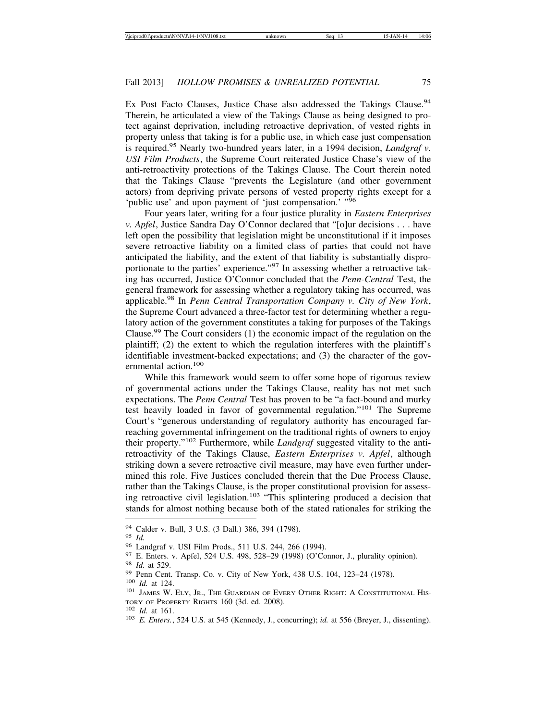Ex Post Facto Clauses, Justice Chase also addressed the Takings Clause.<sup>94</sup> Therein, he articulated a view of the Takings Clause as being designed to protect against deprivation, including retroactive deprivation, of vested rights in property unless that taking is for a public use, in which case just compensation is required.95 Nearly two-hundred years later, in a 1994 decision, *Landgraf v. USI Film Products*, the Supreme Court reiterated Justice Chase's view of the anti-retroactivity protections of the Takings Clause. The Court therein noted that the Takings Clause "prevents the Legislature (and other government actors) from depriving private persons of vested property rights except for a 'public use' and upon payment of 'just compensation.' "96

Four years later, writing for a four justice plurality in *Eastern Enterprises v. Apfel*, Justice Sandra Day O'Connor declared that "[o]ur decisions . . . have left open the possibility that legislation might be unconstitutional if it imposes severe retroactive liability on a limited class of parties that could not have anticipated the liability, and the extent of that liability is substantially disproportionate to the parties' experience."97 In assessing whether a retroactive taking has occurred, Justice O'Connor concluded that the *Penn-Central* Test, the general framework for assessing whether a regulatory taking has occurred, was applicable.98 In *Penn Central Transportation Company v. City of New York*, the Supreme Court advanced a three-factor test for determining whether a regulatory action of the government constitutes a taking for purposes of the Takings Clause.99 The Court considers (1) the economic impact of the regulation on the plaintiff; (2) the extent to which the regulation interferes with the plaintiff's identifiable investment-backed expectations; and (3) the character of the governmental action.<sup>100</sup>

While this framework would seem to offer some hope of rigorous review of governmental actions under the Takings Clause, reality has not met such expectations. The *Penn Central* Test has proven to be "a fact-bound and murky test heavily loaded in favor of governmental regulation."101 The Supreme Court's "generous understanding of regulatory authority has encouraged farreaching governmental infringement on the traditional rights of owners to enjoy their property."102 Furthermore, while *Landgraf* suggested vitality to the antiretroactivity of the Takings Clause, *Eastern Enterprises v. Apfel*, although striking down a severe retroactive civil measure, may have even further undermined this role. Five Justices concluded therein that the Due Process Clause, rather than the Takings Clause, is the proper constitutional provision for assessing retroactive civil legislation.<sup>103</sup> "This splintering produced a decision that stands for almost nothing because both of the stated rationales for striking the

<sup>&</sup>lt;sup>94</sup> Calder v. Bull, 3 U.S. (3 Dall.) 386, 394 (1798).<br>
<sup>95</sup> *Id.*<br>
<sup>96</sup> Landgraf v. USI Film Prods., 511 U.S. 244, 266 (1994).<br>
<sup>97</sup> E. Enters. v. Apfel, 524 U.S. 498, 528–29 (1998) (O'Connor, J., plurality opinion).<br>
<sup>9</sup> TORY OF PROPERTY RIGHTS 160 (3d. ed. 2008).<br><sup>102</sup> *Id.* at 161. 103 *E. Enters.*, 524 U.S. at 545 (Kennedy, J., concurring); *id.* at 556 (Breyer, J., dissenting).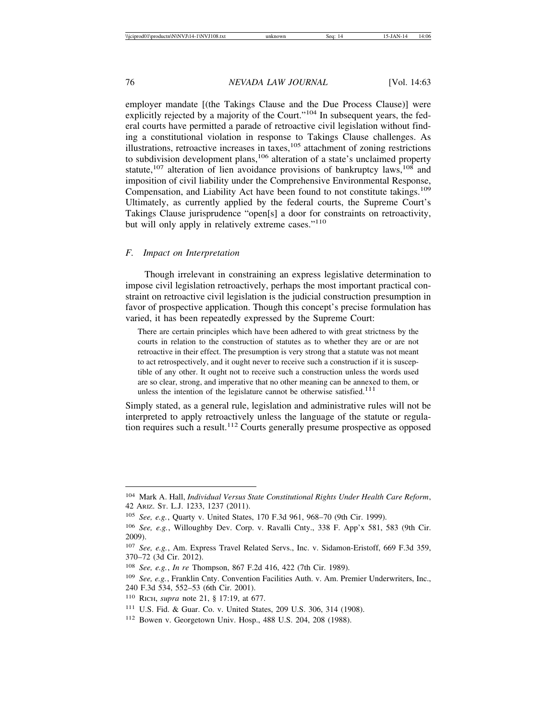employer mandate [(the Takings Clause and the Due Process Clause)] were explicitly rejected by a majority of the Court."<sup>104</sup> In subsequent years, the federal courts have permitted a parade of retroactive civil legislation without finding a constitutional violation in response to Takings Clause challenges. As illustrations, retroactive increases in taxes, $105$  attachment of zoning restrictions to subdivision development plans,<sup>106</sup> alteration of a state's unclaimed property statute,<sup>107</sup> alteration of lien avoidance provisions of bankruptcy laws,<sup>108</sup> and imposition of civil liability under the Comprehensive Environmental Response, Compensation, and Liability Act have been found to not constitute takings.<sup>109</sup> Ultimately, as currently applied by the federal courts, the Supreme Court's Takings Clause jurisprudence "open[s] a door for constraints on retroactivity, but will only apply in relatively extreme cases."<sup>110</sup>

## *F. Impact on Interpretation*

Though irrelevant in constraining an express legislative determination to impose civil legislation retroactively, perhaps the most important practical constraint on retroactive civil legislation is the judicial construction presumption in favor of prospective application. Though this concept's precise formulation has varied, it has been repeatedly expressed by the Supreme Court:

There are certain principles which have been adhered to with great strictness by the courts in relation to the construction of statutes as to whether they are or are not retroactive in their effect. The presumption is very strong that a statute was not meant to act retrospectively, and it ought never to receive such a construction if it is susceptible of any other. It ought not to receive such a construction unless the words used are so clear, strong, and imperative that no other meaning can be annexed to them, or unless the intention of the legislature cannot be otherwise satisfied.<sup>111</sup>

Simply stated, as a general rule, legislation and administrative rules will not be interpreted to apply retroactively unless the language of the statute or regulation requires such a result.112 Courts generally presume prospective as opposed

<sup>104</sup> Mark A. Hall, *Individual Versus State Constitutional Rights Under Health Care Reform*, 42 ARIZ. ST. L.J. 1233, 1237 (2011).

<sup>105</sup> *See, e.g.*, Quarty v. United States, 170 F.3d 961, 968–70 (9th Cir. 1999).

<sup>106</sup> *See, e.g.*, Willoughby Dev. Corp. v. Ravalli Cnty., 338 F. App'x 581, 583 (9th Cir. 2009).

<sup>107</sup> *See, e.g.*, Am. Express Travel Related Servs., Inc. v. Sidamon-Eristoff, 669 F.3d 359, 370–72 (3d Cir. 2012).

<sup>108</sup> *See, e.g.*, *In re* Thompson, 867 F.2d 416, 422 (7th Cir. 1989).

<sup>109</sup> *See, e.g.*, Franklin Cnty. Convention Facilities Auth. v. Am. Premier Underwriters, Inc., 240 F.3d 534, 552–53 (6th Cir. 2001).

<sup>110</sup> RICH, *supra* note 21, § 17:19, at 677.

<sup>111</sup> U.S. Fid. & Guar. Co. v. United States, 209 U.S. 306, 314 (1908).

<sup>112</sup> Bowen v. Georgetown Univ. Hosp., 488 U.S. 204, 208 (1988).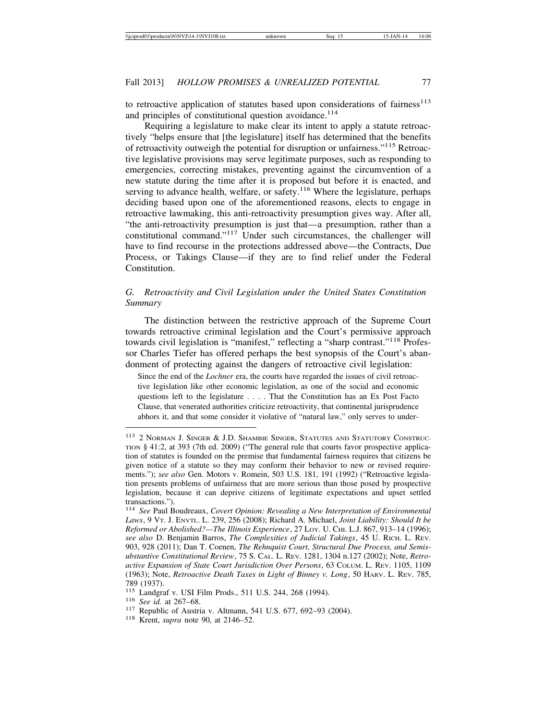to retroactive application of statutes based upon considerations of fairness<sup>113</sup> and principles of constitutional question avoidance.<sup>114</sup>

Requiring a legislature to make clear its intent to apply a statute retroactively "helps ensure that [the legislature] itself has determined that the benefits of retroactivity outweigh the potential for disruption or unfairness."115 Retroactive legislative provisions may serve legitimate purposes, such as responding to emergencies, correcting mistakes, preventing against the circumvention of a new statute during the time after it is proposed but before it is enacted, and serving to advance health, welfare, or safety.<sup>116</sup> Where the legislature, perhaps deciding based upon one of the aforementioned reasons, elects to engage in retroactive lawmaking, this anti-retroactivity presumption gives way. After all, "the anti-retroactivity presumption is just that—a presumption, rather than a constitutional command."117 Under such circumstances, the challenger will have to find recourse in the protections addressed above—the Contracts, Due Process, or Takings Clause—if they are to find relief under the Federal Constitution.

## *G. Retroactivity and Civil Legislation under the United States Constitution Summary*

The distinction between the restrictive approach of the Supreme Court towards retroactive criminal legislation and the Court's permissive approach towards civil legislation is "manifest," reflecting a "sharp contrast."118 Professor Charles Tiefer has offered perhaps the best synopsis of the Court's abandonment of protecting against the dangers of retroactive civil legislation:

Since the end of the *Lochner* era, the courts have regarded the issues of civil retroactive legislation like other economic legislation, as one of the social and economic questions left to the legislature . . . . That the Constitution has an Ex Post Facto Clause, that venerated authorities criticize retroactivity, that continental jurisprudence abhors it, and that some consider it violative of "natural law," only serves to under-

<sup>113</sup> 2 NORMAN J. SINGER & J.D. SHAMBIE SINGER, STATUTES AND STATUTORY CONSTRUC-TION § 41:2, at 393 (7th ed. 2009) ("The general rule that courts favor prospective application of statutes is founded on the premise that fundamental fairness requires that citizens be given notice of a statute so they may conform their behavior to new or revised requirements."); *see also* Gen. Motors v. Romein, 503 U.S. 181, 191 (1992) ("Retroactive legislation presents problems of unfairness that are more serious than those posed by prospective legislation, because it can deprive citizens of legitimate expectations and upset settled transactions.").

<sup>114</sup> *See* Paul Boudreaux, *Covert Opinion: Revealing a New Interpretation of Environmental Laws*, 9 VT. J. ENVTL. L. 239, 256 (2008); Richard A. Michael, *Joint Liability: Should It be Reformed or Abolished?—The Illinois Experience*, 27 LOY. U. CHI. L.J. 867, 913–14 (1996); *see also* D. Benjamin Barros, *The Complexities of Judicial Takings*, 45 U. RICH. L. REV. 903, 928 (2011); Dan T. Coenen, *The Rehnquist Court, Structural Due Process, and Semisubstantive Constitutional Review*, 75 S. CAL. L. REV. 1281, 1304 n.127 (2002); Note, *Retroactive Expansion of State Court Jurisdiction Over Persons*, 63 COLUM. L. REV. 1105, 1109 (1963); Note, *Retroactive Death Taxes in Light of Binney v. Long*, 50 HARV. L. REV. 785, 789 (1937).<br><sup>115</sup> Landgraf v. USI Film Prods., 511 U.S. 244, 268 (1994).

<sup>&</sup>lt;sup>116</sup> See id. at 267–68.<br><sup>117</sup> Republic of Austria v. Altmann, 541 U.S. 677, 692–93 (2004).<br><sup>118</sup> Krent, *supra* note 90, at 2146–52.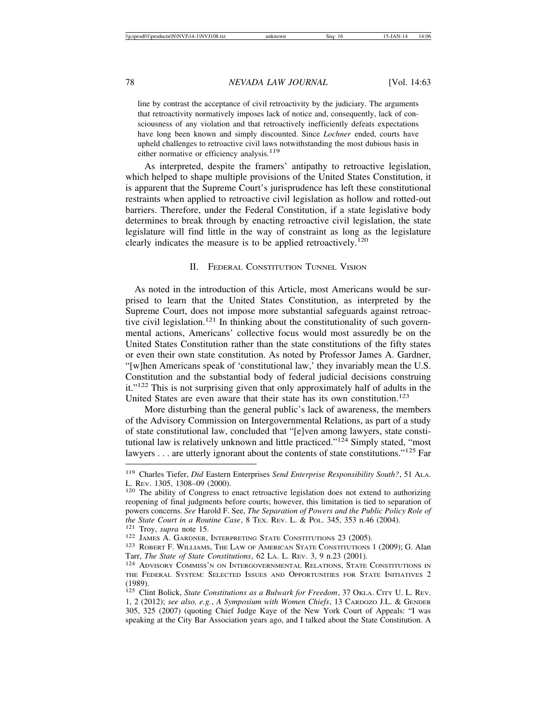line by contrast the acceptance of civil retroactivity by the judiciary. The arguments that retroactivity normatively imposes lack of notice and, consequently, lack of consciousness of any violation and that retroactively inefficiently defeats expectations have long been known and simply discounted. Since *Lochner* ended, courts have upheld challenges to retroactive civil laws notwithstanding the most dubious basis in either normative or efficiency analysis.<sup>119</sup>

As interpreted, despite the framers' antipathy to retroactive legislation, which helped to shape multiple provisions of the United States Constitution, it is apparent that the Supreme Court's jurisprudence has left these constitutional restraints when applied to retroactive civil legislation as hollow and rotted-out barriers. Therefore, under the Federal Constitution, if a state legislative body determines to break through by enacting retroactive civil legislation, the state legislature will find little in the way of constraint as long as the legislature clearly indicates the measure is to be applied retroactively.<sup>120</sup>

#### II. FEDERAL CONSTITUTION TUNNEL VISION

 As noted in the introduction of this Article, most Americans would be surprised to learn that the United States Constitution, as interpreted by the Supreme Court, does not impose more substantial safeguards against retroactive civil legislation.<sup>121</sup> In thinking about the constitutionality of such governmental actions, Americans' collective focus would most assuredly be on the United States Constitution rather than the state constitutions of the fifty states or even their own state constitution. As noted by Professor James A. Gardner, "[w]hen Americans speak of 'constitutional law,' they invariably mean the U.S. Constitution and the substantial body of federal judicial decisions construing it."122 This is not surprising given that only approximately half of adults in the United States are even aware that their state has its own constitution.<sup>123</sup>

More disturbing than the general public's lack of awareness, the members of the Advisory Commission on Intergovernmental Relations, as part of a study of state constitutional law, concluded that "[e]ven among lawyers, state constitutional law is relatively unknown and little practiced." $124$  Simply stated, "most lawyers  $\dots$  are utterly ignorant about the contents of state constitutions."<sup>125</sup> Far

<sup>119</sup> Charles Tiefer, *Did* Eastern Enterprises *Send Enterprise Responsibility South?*, 51 ALA. L. Rev. 1305, 1308–09 (2000).<br><sup>120</sup> The ability of Congress to enact retroactive legislation does not extend to authorizing

reopening of final judgments before courts; however, this limitation is tied to separation of powers concerns. *See* Harold F. See, *The Separation of Powers and the Public Policy Role of the State Court in a Routine Case*, 8 Tex. Rev. L. & Pol. 345, 353 n.46 (2004).<br><sup>121</sup> Troy, *supra* note 15.<br><sup>122</sup> JAMES A. GARDNER, INTERPRETING STATE CONSTITUTIONS 23 (2005).<br><sup>123</sup> ROBERT F. WILLIAMS, THE LAW OF AMERICA

Tarr, *The State of State Constitutions*, 62 LA. L. REV. 3, 9 n.23 (2001).<br><sup>124</sup> ADVISORY COMMISS'N ON INTERGOVERNMENTAL RELATIONS, STATE CONSTITUTIONS IN

THE FEDERAL SYSTEM: SELECTED ISSUES AND OPPORTUNITIES FOR STATE INITIATIVES 2 (1989).

<sup>&</sup>lt;sup>125</sup> Clint Bolick, *State Constitutions as a Bulwark for Freedom*, 37 OKLA. CITY U. L. REV. 1, 2 (2012); *see also, e.g.*, *A Symposium with Women Chiefs*, 13 CARDOZO J.L. & GENDER 305, 325 (2007) (quoting Chief Judge Kaye of the New York Court of Appeals: "I was speaking at the City Bar Association years ago, and I talked about the State Constitution. A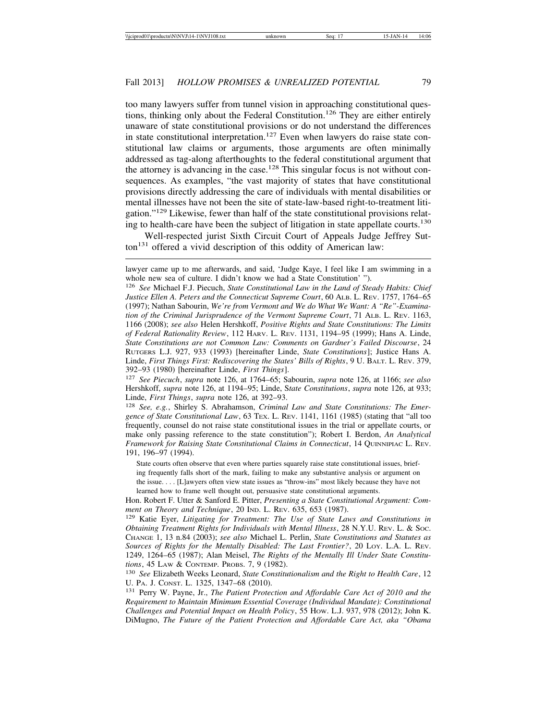too many lawyers suffer from tunnel vision in approaching constitutional questions, thinking only about the Federal Constitution.<sup>126</sup> They are either entirely unaware of state constitutional provisions or do not understand the differences in state constitutional interpretation.<sup>127</sup> Even when lawyers do raise state constitutional law claims or arguments, those arguments are often minimally addressed as tag-along afterthoughts to the federal constitutional argument that the attorney is advancing in the case.<sup>128</sup> This singular focus is not without consequences. As examples, "the vast majority of states that have constitutional provisions directly addressing the care of individuals with mental disabilities or mental illnesses have not been the site of state-law-based right-to-treatment litigation."129 Likewise, fewer than half of the state constitutional provisions relating to health-care have been the subject of litigation in state appellate courts.<sup>130</sup>

Well-respected jurist Sixth Circuit Court of Appeals Judge Jeffrey Sutton<sup>131</sup> offered a vivid description of this oddity of American law:

State courts often observe that even where parties squarely raise state constitutional issues, briefing frequently falls short of the mark, failing to make any substantive analysis or argument on the issue. . . . [L]awyers often view state issues as "throw-ins" most likely because they have not learned how to frame well thought out, persuasive state constitutional arguments.

lawyer came up to me afterwards, and said, 'Judge Kaye, I feel like I am swimming in a whole new sea of culture. I didn't know we had a State Constitution' ").

<sup>126</sup> *See* Michael F.J. Piecuch, *State Constitutional Law in the Land of Steady Habits: Chief Justice Ellen A. Peters and the Connecticut Supreme Court*, 60 ALB. L. REV. 1757, 1764–65 (1997); Nathan Sabourin, *We're from Vermont and We do What We Want: A "Re"-Examination of the Criminal Jurisprudence of the Vermont Supreme Court*, 71 ALB. L. REV. 1163, 1166 (2008); *see also* Helen Hershkoff, *Positive Rights and State Constitutions: The Limits of Federal Rationality Review*, 112 HARV. L. REV. 1131, 1194–95 (1999); Hans A. Linde, *State Constitutions are not Common Law: Comments on Gardner's Failed Discourse*, 24 RUTGERS L.J. 927, 933 (1993) [hereinafter Linde, *State Constitutions*]; Justice Hans A. Linde, *First Things First: Rediscovering the States' Bills of Rights*, 9 U. BALT. L. REV. 379, 392–93 (1980) [hereinafter Linde, *First Things*].

<sup>127</sup> *See Piecuch*, *supra* note 126, at 1764–65; Sabourin, *supra* note 126, at 1166; *see also* Hershkoff, *supra* note 126, at 1194–95; Linde, S*tate Constitutions*, *supra* note 126, at 933; Linde, *First Things*, *supra* note 126, at 392–93.

<sup>128</sup> *See, e.g.*, Shirley S. Abrahamson, *Criminal Law and State Constitutions: The Emergence of State Constitutional Law*, 63 TEX. L. REV. 1141, 1161 (1985) (stating that "all too frequently, counsel do not raise state constitutional issues in the trial or appellate courts, or make only passing reference to the state constitution"); Robert I. Berdon, *An Analytical Framework for Raising State Constitutional Claims in Connecticut*, 14 QUINNIPIAC L. REV. 191, 196–97 (1994).

Hon. Robert F. Utter & Sanford E. Pitter, *Presenting a State Constitutional Argument: Comment on Theory and Technique*, 20 IND. L. REV. 635, 653 (1987).

<sup>129</sup> Katie Eyer, *Litigating for Treatment: The Use of State Laws and Constitutions in Obtaining Treatment Rights for Individuals with Mental Illness*, 28 N.Y.U. REV. L. & SOC. CHANGE 1, 13 n.84 (2003); *see also* Michael L. Perlin, *State Constitutions and Statutes as Sources of Rights for the Mentally Disabled: The Last Frontier?*, 20 LOY. L.A. L. REV. 1249, 1264–65 (1987); Alan Meisel, *The Rights of the Mentally Ill Under State Constitutions*, 45 LAW & CONTEMP. PROBS. 7, 9 (1982).

<sup>130</sup> *See* Elizabeth Weeks Leonard, *State Constitutionalism and the Right to Health Care*, 12 U. PA. J. CONST. L. 1325, 1347–68 (2010).

<sup>131</sup> Perry W. Payne, Jr., *The Patient Protection and Affordable Care Act of 2010 and the Requirement to Maintain Minimum Essential Coverage (Individual Mandate): Constitutional Challenges and Potential Impact on Health Policy*, 55 HOW. L.J. 937, 978 (2012); John K. DiMugno, *The Future of the Patient Protection and Affordable Care Act, aka "Obama*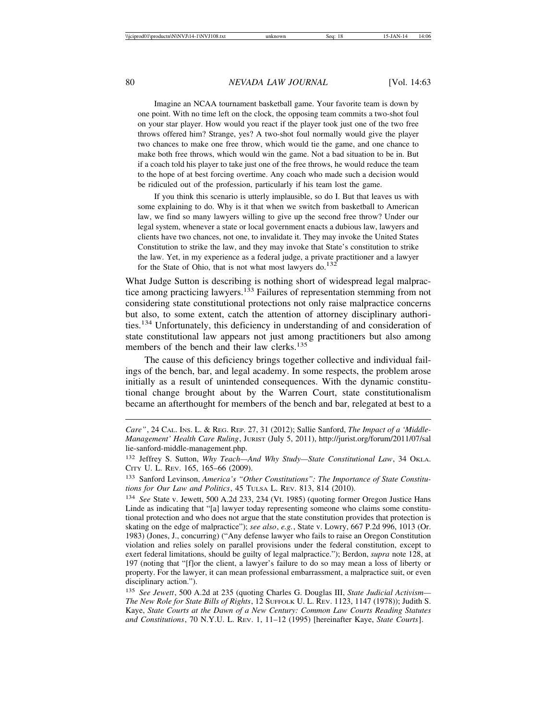Imagine an NCAA tournament basketball game. Your favorite team is down by one point. With no time left on the clock, the opposing team commits a two-shot foul on your star player. How would you react if the player took just one of the two free throws offered him? Strange, yes? A two-shot foul normally would give the player two chances to make one free throw, which would tie the game, and one chance to make both free throws, which would win the game. Not a bad situation to be in. But if a coach told his player to take just one of the free throws, he would reduce the team to the hope of at best forcing overtime. Any coach who made such a decision would be ridiculed out of the profession, particularly if his team lost the game.

If you think this scenario is utterly implausible, so do I. But that leaves us with some explaining to do. Why is it that when we switch from basketball to American law, we find so many lawyers willing to give up the second free throw? Under our legal system, whenever a state or local government enacts a dubious law, lawyers and clients have two chances, not one, to invalidate it. They may invoke the United States Constitution to strike the law, and they may invoke that State's constitution to strike the law. Yet, in my experience as a federal judge, a private practitioner and a lawyer for the State of Ohio, that is not what most lawyers do. $132$ 

What Judge Sutton is describing is nothing short of widespread legal malpractice among practicing lawyers.<sup>133</sup> Failures of representation stemming from not considering state constitutional protections not only raise malpractice concerns but also, to some extent, catch the attention of attorney disciplinary authorities.134 Unfortunately, this deficiency in understanding of and consideration of state constitutional law appears not just among practitioners but also among members of the bench and their law clerks.<sup>135</sup>

The cause of this deficiency brings together collective and individual failings of the bench, bar, and legal academy. In some respects, the problem arose initially as a result of unintended consequences. With the dynamic constitutional change brought about by the Warren Court, state constitutionalism became an afterthought for members of the bench and bar, relegated at best to a

*Care"*, 24 CAL. INS. L. & REG. REP. 27, 31 (2012); Sallie Sanford, *The Impact of a 'Middle-Management' Health Care Ruling*, JURIST (July 5, 2011), http://jurist.org/forum/2011/07/sal lie-sanford-middle-management.php.

<sup>132</sup> Jeffrey S. Sutton, *Why Teach—And Why Study—State Constitutional Law*, 34 OKLA. CITY U. L. REV. 165, 165–66 (2009).

<sup>133</sup> Sanford Levinson, *America's "Other Constitutions": The Importance of State Constitutions for Our Law and Politics*, 45 TULSA L. REV. 813, 814 (2010).

<sup>134</sup> *See* State v. Jewett, 500 A.2d 233, 234 (Vt. 1985) (quoting former Oregon Justice Hans Linde as indicating that "[a] lawyer today representing someone who claims some constitutional protection and who does not argue that the state constitution provides that protection is skating on the edge of malpractice"); *see also*, *e.g.*, State v. Lowry, 667 P.2d 996, 1013 (Or. 1983) (Jones, J., concurring) ("Any defense lawyer who fails to raise an Oregon Constitution violation and relies solely on parallel provisions under the federal constitution, except to exert federal limitations, should be guilty of legal malpractice."); Berdon, *supra* note 128, at 197 (noting that "[f]or the client, a lawyer's failure to do so may mean a loss of liberty or property. For the lawyer, it can mean professional embarrassment, a malpractice suit, or even disciplinary action.").

<sup>135</sup> *See Jewett*, 500 A.2d at 235 (quoting Charles G. Douglas III, *State Judicial Activism— The New Role for State Bills of Rights*, 12 SUFFOLK U. L. REV. 1123, 1147 (1978)); Judith S. Kaye, *State Courts at the Dawn of a New Century: Common Law Courts Reading Statutes and Constitutions*, 70 N.Y.U. L. REV. 1, 11–12 (1995) [hereinafter Kaye, *State Courts*].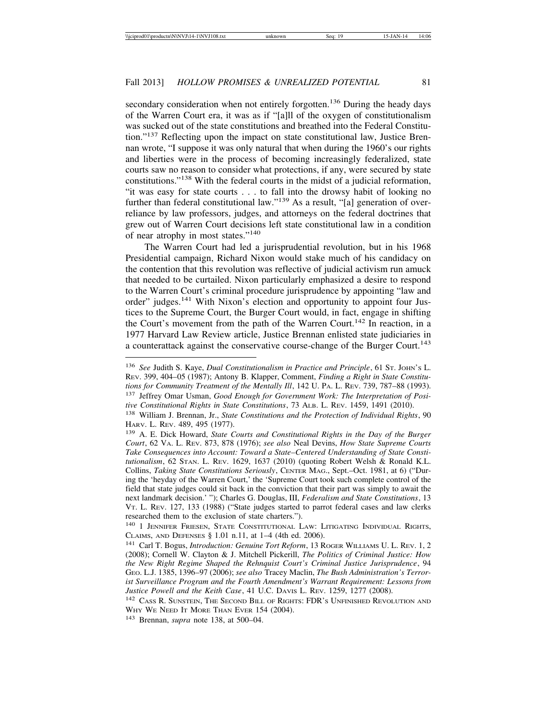secondary consideration when not entirely forgotten.<sup>136</sup> During the heady days of the Warren Court era, it was as if "[a]ll of the oxygen of constitutionalism was sucked out of the state constitutions and breathed into the Federal Constitution."137 Reflecting upon the impact on state constitutional law, Justice Brennan wrote, "I suppose it was only natural that when during the 1960's our rights and liberties were in the process of becoming increasingly federalized, state courts saw no reason to consider what protections, if any, were secured by state constitutions."138 With the federal courts in the midst of a judicial reformation, "it was easy for state courts . . . to fall into the drowsy habit of looking no further than federal constitutional law."<sup>139</sup> As a result, "[a] generation of overreliance by law professors, judges, and attorneys on the federal doctrines that grew out of Warren Court decisions left state constitutional law in a condition of near atrophy in most states."<sup>140</sup>

The Warren Court had led a jurisprudential revolution, but in his 1968 Presidential campaign, Richard Nixon would stake much of his candidacy on the contention that this revolution was reflective of judicial activism run amuck that needed to be curtailed. Nixon particularly emphasized a desire to respond to the Warren Court's criminal procedure jurisprudence by appointing "law and order" judges.141 With Nixon's election and opportunity to appoint four Justices to the Supreme Court, the Burger Court would, in fact, engage in shifting the Court's movement from the path of the Warren Court.<sup>142</sup> In reaction, in a 1977 Harvard Law Review article, Justice Brennan enlisted state judiciaries in a counterattack against the conservative course-change of the Burger Court.<sup>143</sup>

<sup>136</sup> *See* Judith S. Kaye, *Dual Constitutionalism in Practice and Principle*, 61 ST. JOHN'S L. REV. 399, 404–05 (1987); Antony B. Klapper, Comment, *Finding a Right in State Constitutions for Community Treatment of the Mentally Ill*, 142 U. PA. L. REV. 739, 787–88 (1993). <sup>137</sup> Jeffrey Omar Usman, *Good Enough for Government Work: The Interpretation of Positive Constitutional Rights in State Constitutions*, 73 ALB. L. REV. 1459, 1491 (2010).

<sup>138</sup> William J. Brennan, Jr., *State Constitutions and the Protection of Individual Rights*, 90 HARV. L. REV. 489, 495 (1977).

<sup>139</sup> A. E. Dick Howard, *State Courts and Constitutional Rights in the Day of the Burger Court*, 62 VA. L. REV. 873, 878 (1976); *see also* Neal Devins, *How State Supreme Courts Take Consequences into Account: Toward a State–Centered Understanding of State Constitutionalism*, 62 STAN. L. REV. 1629, 1637 (2010) (quoting Robert Welsh & Ronald K.L. Collins, *Taking State Constitutions Seriously*, CENTER MAG., Sept.–Oct. 1981, at 6) ("During the 'heyday of the Warren Court,' the 'Supreme Court took such complete control of the field that state judges could sit back in the conviction that their part was simply to await the next landmark decision.' "); Charles G. Douglas, III, *Federalism and State Constitutions*, 13 VT. L. REV. 127, 133 (1988) ("State judges started to parrot federal cases and law clerks researched them to the exclusion of state charters.").

<sup>140</sup> 1 JENNIFER FRIESEN, STATE CONSTITUTIONAL LAW: LITIGATING INDIVIDUAL RIGHTS, CLAIMS, AND DEFENSES § 1.01 n.11, at 1–4 (4th ed. 2006).

<sup>141</sup> Carl T. Bogus, *Introduction: Genuine Tort Reform*, 13 ROGER WILLIAMS U. L. REV. 1, 2 (2008); Cornell W. Clayton & J. Mitchell Pickerill, *The Politics of Criminal Justice: How the New Right Regime Shaped the Rehnquist Court's Criminal Justice Jurisprudence*, 94 GEO. L.J. 1385, 1396–97 (2006); *see also* Tracey Maclin, *The Bush Administration's Terrorist Surveillance Program and the Fourth Amendment's Warrant Requirement: Lessons from Justice Powell and the Keith Case*, 41 U.C. DAVIS L. REV. 1259, 1277 (2008).

<sup>142</sup> CASS R. SUNSTEIN, THE SECOND BILL OF RIGHTS: FDR'S UNFINISHED REVOLUTION AND WHY WE NEED IT MORE THAN EVER 154 (2004).

<sup>143</sup> Brennan, *supra* note 138, at 500–04.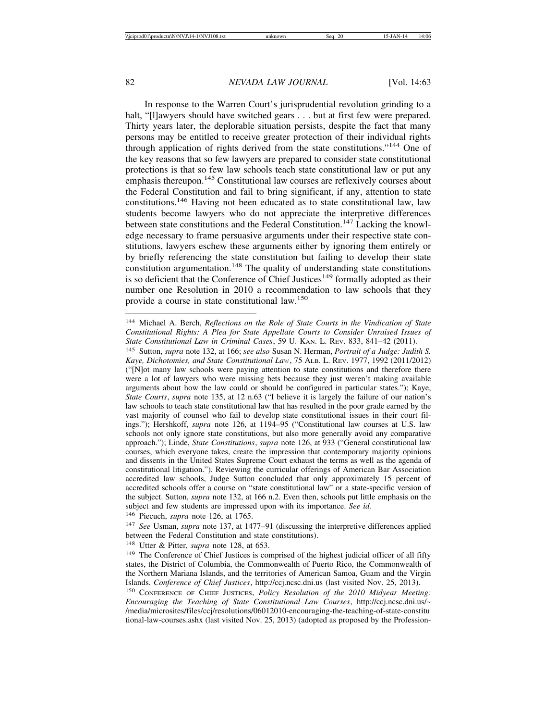In response to the Warren Court's jurisprudential revolution grinding to a halt, "[I]awyers should have switched gears . . . but at first few were prepared. Thirty years later, the deplorable situation persists, despite the fact that many persons may be entitled to receive greater protection of their individual rights through application of rights derived from the state constitutions."144 One of the key reasons that so few lawyers are prepared to consider state constitutional protections is that so few law schools teach state constitutional law or put any emphasis thereupon.<sup>145</sup> Constitutional law courses are reflexively courses about the Federal Constitution and fail to bring significant, if any, attention to state constitutions.146 Having not been educated as to state constitutional law, law students become lawyers who do not appreciate the interpretive differences between state constitutions and the Federal Constitution.<sup>147</sup> Lacking the knowledge necessary to frame persuasive arguments under their respective state constitutions, lawyers eschew these arguments either by ignoring them entirely or by briefly referencing the state constitution but failing to develop their state constitution argumentation.<sup>148</sup> The quality of understanding state constitutions is so deficient that the Conference of Chief Justices<sup>149</sup> formally adopted as their number one Resolution in 2010 a recommendation to law schools that they provide a course in state constitutional law.<sup>150</sup>

<sup>148</sup> Utter & Pitter, *supra* note 128, at 653.

<sup>144</sup> Michael A. Berch, *Reflections on the Role of State Courts in the Vindication of State Constitutional Rights: A Plea for State Appellate Courts to Consider Unraised Issues of State Constitutional Law in Criminal Cases*, 59 U. KAN. L. REV. 833, 841–42 (2011).

<sup>145</sup> Sutton, *supra* note 132, at 166; *see also* Susan N. Herman, *Portrait of a Judge: Judith S. Kaye, Dichotomies, and State Constitutional Law*, 75 ALB. L. REV. 1977, 1992 (2011/2012) ("[N]ot many law schools were paying attention to state constitutions and therefore there were a lot of lawyers who were missing bets because they just weren't making available arguments about how the law could or should be configured in particular states."); Kaye, *State Courts*, *supra* note 135, at 12 n.63 ("I believe it is largely the failure of our nation's law schools to teach state constitutional law that has resulted in the poor grade earned by the vast majority of counsel who fail to develop state constitutional issues in their court filings."); Hershkoff, *supra* note 126, at 1194–95 ("Constitutional law courses at U.S. law schools not only ignore state constitutions, but also more generally avoid any comparative approach."); Linde, *State Constitutions*, *supra* note 126, at 933 ("General constitutional law courses, which everyone takes, create the impression that contemporary majority opinions and dissents in the United States Supreme Court exhaust the terms as well as the agenda of constitutional litigation."). Reviewing the curricular offerings of American Bar Association accredited law schools, Judge Sutton concluded that only approximately 15 percent of accredited schools offer a course on "state constitutional law" or a state-specific version of the subject. Sutton, *supra* note 132, at 166 n.2. Even then, schools put little emphasis on the subject and few students are impressed upon with its importance. *See id.*

<sup>146</sup> Piecuch, *supra* note 126, at 1765.

<sup>147</sup> *See* Usman, *supra* note 137, at 1477–91 (discussing the interpretive differences applied between the Federal Constitution and state constitutions).

<sup>&</sup>lt;sup>149</sup> The Conference of Chief Justices is comprised of the highest judicial officer of all fifty states, the District of Columbia, the Commonwealth of Puerto Rico, the Commonwealth of the Northern Mariana Islands, and the territories of American Samoa, Guam and the Virgin Islands. *Conference of Chief Justices*, http://ccj.ncsc.dni.us (last visited Nov. 25, 2013).

<sup>150</sup> CONFERENCE OF CHIEF JUSTICES, *Policy Resolution of the 2010 Midyear Meeting: Encouraging the Teaching of State Constitutional Law Courses*, http://ccj.ncsc.dni.us/~ /media/microsites/files/ccj/resolutions/06012010-encouraging-the-teaching-of-state-constitu tional-law-courses.ashx (last visited Nov. 25, 2013) (adopted as proposed by the Profession-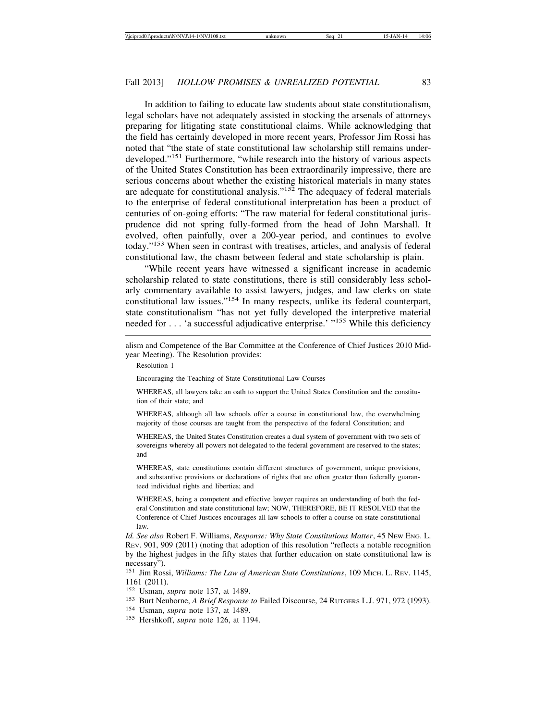In addition to failing to educate law students about state constitutionalism, legal scholars have not adequately assisted in stocking the arsenals of attorneys preparing for litigating state constitutional claims. While acknowledging that the field has certainly developed in more recent years, Professor Jim Rossi has noted that "the state of state constitutional law scholarship still remains underdeveloped."151 Furthermore, "while research into the history of various aspects of the United States Constitution has been extraordinarily impressive, there are serious concerns about whether the existing historical materials in many states are adequate for constitutional analysis."<sup>152</sup> The adequacy of federal materials to the enterprise of federal constitutional interpretation has been a product of centuries of on-going efforts: "The raw material for federal constitutional jurisprudence did not spring fully-formed from the head of John Marshall. It evolved, often painfully, over a 200-year period, and continues to evolve today."153 When seen in contrast with treatises, articles, and analysis of federal constitutional law, the chasm between federal and state scholarship is plain.

"While recent years have witnessed a significant increase in academic scholarship related to state constitutions, there is still considerably less scholarly commentary available to assist lawyers, judges, and law clerks on state constitutional law issues."154 In many respects, unlike its federal counterpart, state constitutionalism "has not yet fully developed the interpretive material needed for . . . 'a successful adjudicative enterprise.' "155 While this deficiency

Resolution 1

Encouraging the Teaching of State Constitutional Law Courses

WHEREAS, all lawyers take an oath to support the United States Constitution and the constitution of their state; and

WHEREAS, although all law schools offer a course in constitutional law, the overwhelming majority of those courses are taught from the perspective of the federal Constitution; and

WHEREAS, the United States Constitution creates a dual system of government with two sets of sovereigns whereby all powers not delegated to the federal government are reserved to the states; and

WHEREAS, state constitutions contain different structures of government, unique provisions, and substantive provisions or declarations of rights that are often greater than federally guaranteed individual rights and liberties; and

WHEREAS, being a competent and effective lawyer requires an understanding of both the federal Constitution and state constitutional law; NOW, THEREFORE, BE IT RESOLVED that the Conference of Chief Justices encourages all law schools to offer a course on state constitutional law.

*Id. See also* Robert F. Williams, *Response: Why State Constitutions Matter*, 45 NEW ENG. L. REV. 901, 909 (2011) (noting that adoption of this resolution "reflects a notable recognition by the highest judges in the fifty states that further education on state constitutional law is necessary").

<sup>151</sup> Jim Rossi, *Williams: The Law of American State Constitutions*, 109 MICH. L. REV. 1145, 1161 (2011).

<sup>152</sup> Usman, *supra* note 137, at 1489.

- <sup>153</sup> Burt Neuborne, *A Brief Response to* Failed Discourse, 24 RUTGERS L.J. 971, 972 (1993).
- 
- <sup>154</sup> Usman, *supra* note 137, at 1489. <sup>155</sup> Hershkoff, *supra* note 126, at 1194.

alism and Competence of the Bar Committee at the Conference of Chief Justices 2010 Midyear Meeting). The Resolution provides: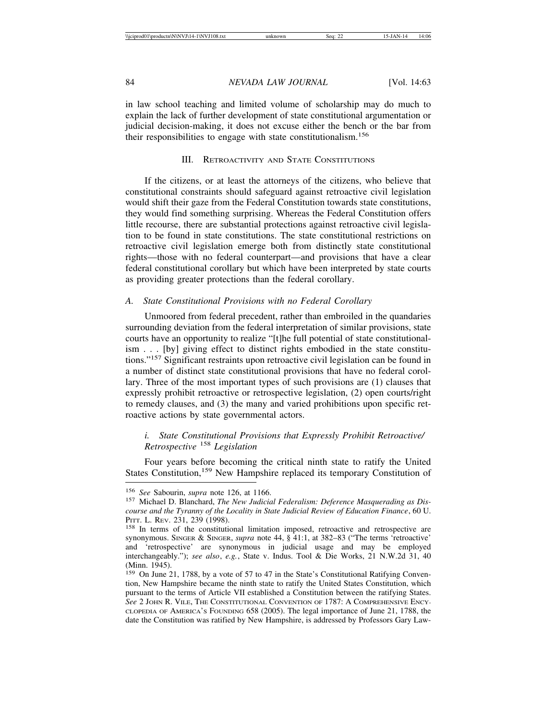in law school teaching and limited volume of scholarship may do much to explain the lack of further development of state constitutional argumentation or judicial decision-making, it does not excuse either the bench or the bar from their responsibilities to engage with state constitutionalism.<sup>156</sup>

## III. RETROACTIVITY AND STATE CONSTITUTIONS

If the citizens, or at least the attorneys of the citizens, who believe that constitutional constraints should safeguard against retroactive civil legislation would shift their gaze from the Federal Constitution towards state constitutions, they would find something surprising. Whereas the Federal Constitution offers little recourse, there are substantial protections against retroactive civil legislation to be found in state constitutions. The state constitutional restrictions on retroactive civil legislation emerge both from distinctly state constitutional rights—those with no federal counterpart—and provisions that have a clear federal constitutional corollary but which have been interpreted by state courts as providing greater protections than the federal corollary.

#### *A. State Constitutional Provisions with no Federal Corollary*

Unmoored from federal precedent, rather than embroiled in the quandaries surrounding deviation from the federal interpretation of similar provisions, state courts have an opportunity to realize "[t]he full potential of state constitutionalism . . . [by] giving effect to distinct rights embodied in the state constitutions."157 Significant restraints upon retroactive civil legislation can be found in a number of distinct state constitutional provisions that have no federal corollary. Three of the most important types of such provisions are (1) clauses that expressly prohibit retroactive or retrospective legislation, (2) open courts/right to remedy clauses, and (3) the many and varied prohibitions upon specific retroactive actions by state governmental actors.

## *i. State Constitutional Provisions that Expressly Prohibit Retroactive/ Retrospective* 158 *Legislation*

Four years before becoming the critical ninth state to ratify the United States Constitution,<sup>159</sup> New Hampshire replaced its temporary Constitution of

<sup>&</sup>lt;sup>156</sup> *See Sabourin, supra note 126, at 1166.*<br><sup>157</sup> Michael D. Blanchard, *The New Judicial Federalism: Deference Masquerading as Discourse and the Tyranny of the Locality in State Judicial Review of Education Finance*, 60 U.

<sup>&</sup>lt;sup>158</sup> In terms of the constitutional limitation imposed, retroactive and retrospective are synonymous. SINGER & SINGER, *supra* note 44, § 41:1, at 382–83 ("The terms 'retroactive' and 'retrospective' are synonymous in judicial usage and may be employed interchangeably."); *see also*, *e.g.*, State v. Indus. Tool & Die Works, 21 N.W.2d 31, 40 (Minn. 1945).

<sup>159</sup> On June 21, 1788, by a vote of 57 to 47 in the State's Constitutional Ratifying Convention, New Hampshire became the ninth state to ratify the United States Constitution, which pursuant to the terms of Article VII established a Constitution between the ratifying States. *See* 2 JOHN R. VILE, THE CONSTITUTIONAL CONVENTION OF 1787: A COMPREHENSIVE ENCY-CLOPEDIA OF AMERICA'S FOUNDING 658 (2005). The legal importance of June 21, 1788, the date the Constitution was ratified by New Hampshire, is addressed by Professors Gary Law-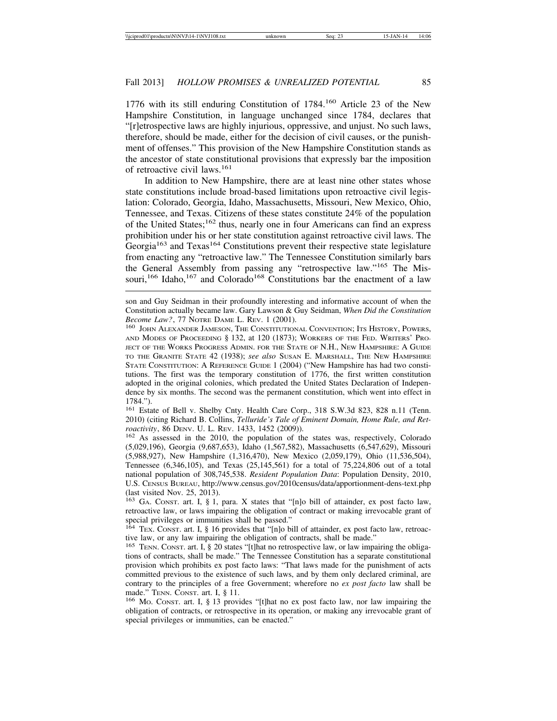1776 with its still enduring Constitution of 1784.<sup>160</sup> Article 23 of the New Hampshire Constitution, in language unchanged since 1784, declares that "[r]etrospective laws are highly injurious, oppressive, and unjust. No such laws, therefore, should be made, either for the decision of civil causes, or the punishment of offenses." This provision of the New Hampshire Constitution stands as the ancestor of state constitutional provisions that expressly bar the imposition of retroactive civil laws.<sup>161</sup>

In addition to New Hampshire, there are at least nine other states whose state constitutions include broad-based limitations upon retroactive civil legislation: Colorado, Georgia, Idaho, Massachusetts, Missouri, New Mexico, Ohio, Tennessee, and Texas. Citizens of these states constitute 24% of the population of the United States;<sup>162</sup> thus, nearly one in four Americans can find an express prohibition under his or her state constitution against retroactive civil laws. The Georgia<sup>163</sup> and Texas<sup>164</sup> Constitutions prevent their respective state legislature from enacting any "retroactive law." The Tennessee Constitution similarly bars the General Assembly from passing any "retrospective law."165 The Missouri,<sup>166</sup> Idaho,<sup>167</sup> and Colorado<sup>168</sup> Constitutions bar the enactment of a law

<sup>161</sup> Estate of Bell v. Shelby Cnty. Health Care Corp., 318 S.W.3d 823, 828 n.11 (Tenn. 2010) (citing Richard B. Collins, *Telluride's Tale of Eminent Domain, Home Rule, and Retroactivity*, 86 DENV. U. L. REV. 1433, 1452 (2009)). <sup>162</sup> As assessed in the 2010, the population of the states was, respectively, Colorado

(5,029,196), Georgia (9,687,653), Idaho (1,567,582), Massachusetts (6,547,629), Missouri (5,988,927), New Hampshire (1,316,470), New Mexico (2,059,179), Ohio (11,536,504), Tennessee (6,346,105), and Texas (25,145,561) for a total of 75,224,806 out of a total national population of 308,745,538. *Resident Population Data*: Population Density, 2010, U.S. CENSUS BUREAU, http://www.census.gov/2010census/data/apportionment-dens-text.php (last visited Nov. 25, 2013).

<sup>163</sup> GA. CONST. art. I, § 1, para. X states that "[n]o bill of attainder, ex post facto law, retroactive law, or laws impairing the obligation of contract or making irrevocable grant of special privileges or immunities shall be passed."

<sup>164</sup> TEX. CONST. art. I, § 16 provides that "[n]o bill of attainder, ex post facto law, retroactive law, or any law impairing the obligation of contracts, shall be made."

<sup>165</sup> TENN. CONST. art. I, § 20 states "[t]hat no retrospective law, or law impairing the obligations of contracts, shall be made." The Tennessee Constitution has a separate constitutional provision which prohibits ex post facto laws: "That laws made for the punishment of acts committed previous to the existence of such laws, and by them only declared criminal, are contrary to the principles of a free Government; wherefore no *ex post facto* law shall be made." TENN. CONST. art. I, § 11.<br><sup>166</sup> Mo. CONST. art. I, § 13 provides "[t]hat no ex post facto law, nor law impairing the

obligation of contracts, or retrospective in its operation, or making any irrevocable grant of special privileges or immunities, can be enacted."

son and Guy Seidman in their profoundly interesting and informative account of when the Constitution actually became law. Gary Lawson & Guy Seidman, *When Did the Constitution*

<sup>&</sup>lt;sup>160</sup> JOHN ALEXANDER JAMESON, THE CONSTITUTIONAL CONVENTION; ITS HISTORY, POWERS, AND MODES OF PROCEEDING § 132, at 120 (1873); WORKERS OF THE FED. WRITERS' PRO-JECT OF THE WORKS PROGRESS ADMIN. FOR THE STATE OF N.H., NEW HAMPSHIRE: A GUIDE TO THE GRANITE STATE 42 (1938); *see also* SUSAN E. MARSHALL, THE NEW HAMPSHIRE STATE CONSTITUTION: A REFERENCE GUIDE 1 (2004) ("New Hampshire has had two constitutions. The first was the temporary constitution of 1776, the first written constitution adopted in the original colonies, which predated the United States Declaration of Independence by six months. The second was the permanent constitution, which went into effect in 1784.").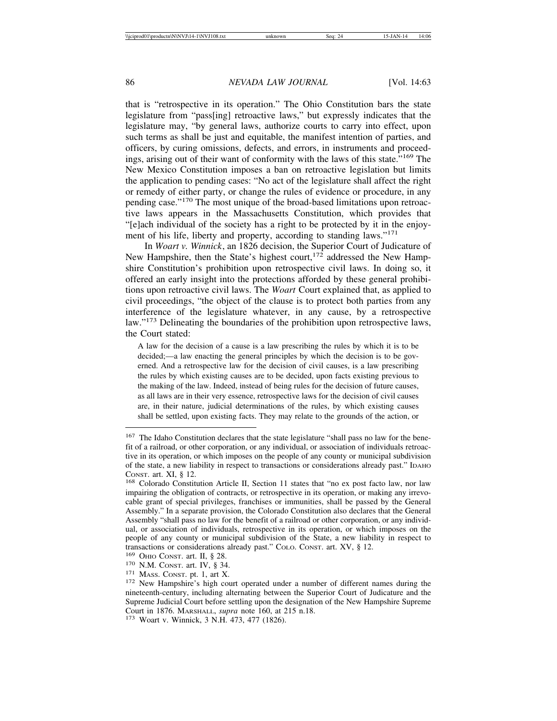that is "retrospective in its operation." The Ohio Constitution bars the state legislature from "pass[ing] retroactive laws," but expressly indicates that the legislature may, "by general laws, authorize courts to carry into effect, upon such terms as shall be just and equitable, the manifest intention of parties, and officers, by curing omissions, defects, and errors, in instruments and proceedings, arising out of their want of conformity with the laws of this state."<sup>169</sup> The New Mexico Constitution imposes a ban on retroactive legislation but limits the application to pending cases: "No act of the legislature shall affect the right or remedy of either party, or change the rules of evidence or procedure, in any pending case."170 The most unique of the broad-based limitations upon retroactive laws appears in the Massachusetts Constitution, which provides that "[e]ach individual of the society has a right to be protected by it in the enjoyment of his life, liberty and property, according to standing laws."<sup>171</sup>

In *Woart v. Winnick*, an 1826 decision, the Superior Court of Judicature of New Hampshire, then the State's highest court,  $172$  addressed the New Hampshire Constitution's prohibition upon retrospective civil laws. In doing so, it offered an early insight into the protections afforded by these general prohibitions upon retroactive civil laws. The *Woart* Court explained that, as applied to civil proceedings, "the object of the clause is to protect both parties from any interference of the legislature whatever, in any cause, by a retrospective law."<sup>173</sup> Delineating the boundaries of the prohibition upon retrospective laws, the Court stated:

A law for the decision of a cause is a law prescribing the rules by which it is to be decided;—a law enacting the general principles by which the decision is to be governed. And a retrospective law for the decision of civil causes, is a law prescribing the rules by which existing causes are to be decided, upon facts existing previous to the making of the law. Indeed, instead of being rules for the decision of future causes, as all laws are in their very essence, retrospective laws for the decision of civil causes are, in their nature, judicial determinations of the rules, by which existing causes shall be settled, upon existing facts. They may relate to the grounds of the action, or

<sup>&</sup>lt;sup>167</sup> The Idaho Constitution declares that the state legislature "shall pass no law for the benefit of a railroad, or other corporation, or any individual, or association of individuals retroactive in its operation, or which imposes on the people of any county or municipal subdivision of the state, a new liability in respect to transactions or considerations already past." IDAHO

CONST. art. XI, § 12.<br><sup>168</sup> Colorado Constitution Article II, Section 11 states that "no ex post facto law, nor law impairing the obligation of contracts, or retrospective in its operation, or making any irrevocable grant of special privileges, franchises or immunities, shall be passed by the General Assembly." In a separate provision, the Colorado Constitution also declares that the General Assembly "shall pass no law for the benefit of a railroad or other corporation, or any individual, or association of individuals, retrospective in its operation, or which imposes on the people of any county or municipal subdivision of the State, a new liability in respect to transactions or considerations already past." Colo. Const. art. XV, § 12.<br><sup>169</sup> OHIO CONST. art. II, § 28.<br><sup>170</sup> N.M. Const. art. IV, § 34.<br><sup>171</sup> MASS. CONST. pt. 1, art X.<br><sup>171</sup> MASS. CONST. pt. 1, art X.

nineteenth-century, including alternating between the Superior Court of Judicature and the Supreme Judicial Court before settling upon the designation of the New Hampshire Supreme Court in 1876. MARSHALL, *supra* note 160, at 215 n.18. <sup>173</sup> Woart v. Winnick, 3 N.H. 473, 477 (1826).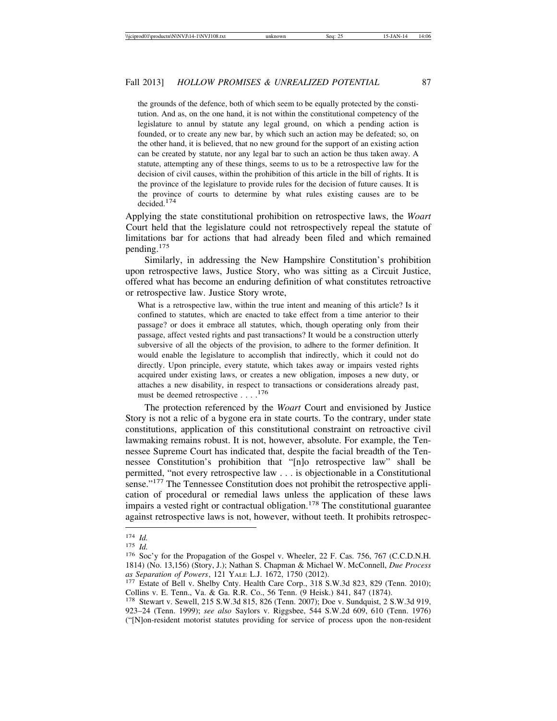the grounds of the defence, both of which seem to be equally protected by the constitution. And as, on the one hand, it is not within the constitutional competency of the legislature to annul by statute any legal ground, on which a pending action is founded, or to create any new bar, by which such an action may be defeated; so, on the other hand, it is believed, that no new ground for the support of an existing action can be created by statute, nor any legal bar to such an action be thus taken away. A statute, attempting any of these things, seems to us to be a retrospective law for the decision of civil causes, within the prohibition of this article in the bill of rights. It is the province of the legislature to provide rules for the decision of future causes. It is the province of courts to determine by what rules existing causes are to be decided.174

Applying the state constitutional prohibition on retrospective laws, the *Woart* Court held that the legislature could not retrospectively repeal the statute of limitations bar for actions that had already been filed and which remained pending.<sup>175</sup>

Similarly, in addressing the New Hampshire Constitution's prohibition upon retrospective laws, Justice Story, who was sitting as a Circuit Justice, offered what has become an enduring definition of what constitutes retroactive or retrospective law. Justice Story wrote,

What is a retrospective law, within the true intent and meaning of this article? Is it confined to statutes, which are enacted to take effect from a time anterior to their passage? or does it embrace all statutes, which, though operating only from their passage, affect vested rights and past transactions? It would be a construction utterly subversive of all the objects of the provision, to adhere to the former definition. It would enable the legislature to accomplish that indirectly, which it could not do directly. Upon principle, every statute, which takes away or impairs vested rights acquired under existing laws, or creates a new obligation, imposes a new duty, or attaches a new disability, in respect to transactions or considerations already past, must be deemed retrospective . . . .<sup>176</sup>

The protection referenced by the *Woart* Court and envisioned by Justice Story is not a relic of a bygone era in state courts. To the contrary, under state constitutions, application of this constitutional constraint on retroactive civil lawmaking remains robust. It is not, however, absolute. For example, the Tennessee Supreme Court has indicated that, despite the facial breadth of the Tennessee Constitution's prohibition that "[n]o retrospective law" shall be permitted, "not every retrospective law . . . is objectionable in a Constitutional sense."<sup>177</sup> The Tennessee Constitution does not prohibit the retrospective application of procedural or remedial laws unless the application of these laws impairs a vested right or contractual obligation.<sup>178</sup> The constitutional guarantee against retrospective laws is not, however, without teeth. It prohibits retrospec-

<sup>174</sup> *Id.*<br>
175 *Id.*<br>
176 Soc'y for the Propagation of the Gospel v. Wheeler, 22 F. Cas. 756, 767 (C.C.D.N.H. 1814) (No. 13,156) (Story, J.); Nathan S. Chapman & Michael W. McConnell, *Due Process*

<sup>&</sup>lt;sup>177</sup> Estate of Bell v. Shelby Cnty. Health Care Corp., 318 S.W.3d 823, 829 (Tenn. 2010); Collins v. E. Tenn., Va. & Ga. R.R. Co., 56 Tenn. (9 Heisk.) 841, 847 (1874).

<sup>178</sup> Stewart v. Sewell, 215 S.W.3d 815, 826 (Tenn. 2007); Doe v. Sundquist, 2 S.W.3d 919, 923–24 (Tenn. 1999); *see also* Saylors v. Riggsbee, 544 S.W.2d 609, 610 (Tenn. 1976) ("[N]on-resident motorist statutes providing for service of process upon the non-resident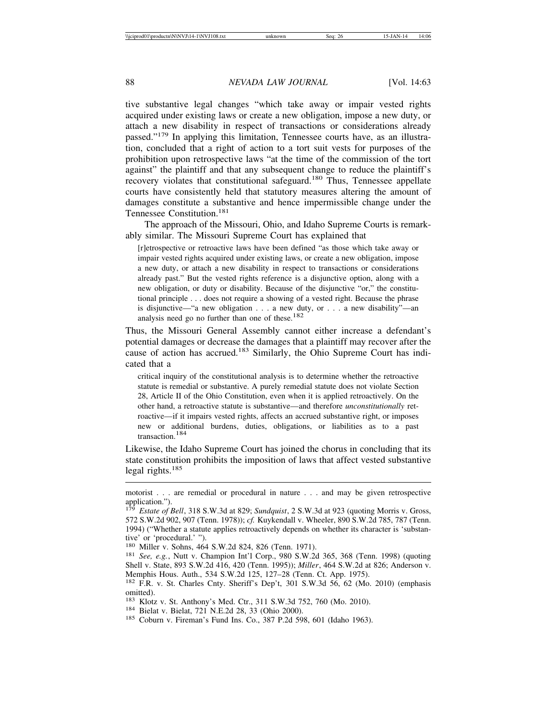tive substantive legal changes "which take away or impair vested rights acquired under existing laws or create a new obligation, impose a new duty, or attach a new disability in respect of transactions or considerations already passed."179 In applying this limitation, Tennessee courts have, as an illustration, concluded that a right of action to a tort suit vests for purposes of the prohibition upon retrospective laws "at the time of the commission of the tort against" the plaintiff and that any subsequent change to reduce the plaintiff's recovery violates that constitutional safeguard.<sup>180</sup> Thus, Tennessee appellate courts have consistently held that statutory measures altering the amount of damages constitute a substantive and hence impermissible change under the Tennessee Constitution.<sup>181</sup>

The approach of the Missouri, Ohio, and Idaho Supreme Courts is remarkably similar. The Missouri Supreme Court has explained that

[r]etrospective or retroactive laws have been defined "as those which take away or impair vested rights acquired under existing laws, or create a new obligation, impose a new duty, or attach a new disability in respect to transactions or considerations already past." But the vested rights reference is a disjunctive option, along with a new obligation, or duty or disability. Because of the disjunctive "or," the constitutional principle . . . does not require a showing of a vested right. Because the phrase is disjunctive—"a new obligation . . . a new duty, or . . . a new disability"—an analysis need go no further than one of these. $182$ 

Thus, the Missouri General Assembly cannot either increase a defendant's potential damages or decrease the damages that a plaintiff may recover after the cause of action has accrued.183 Similarly, the Ohio Supreme Court has indicated that a

critical inquiry of the constitutional analysis is to determine whether the retroactive statute is remedial or substantive. A purely remedial statute does not violate Section 28, Article II of the Ohio Constitution, even when it is applied retroactively. On the other hand, a retroactive statute is substantive—and therefore *unconstitutionally* retroactive—if it impairs vested rights, affects an accrued substantive right, or imposes new or additional burdens, duties, obligations, or liabilities as to a past transaction.184

Likewise, the Idaho Supreme Court has joined the chorus in concluding that its state constitution prohibits the imposition of laws that affect vested substantive legal rights. $185$ 

<sup>181</sup> See, e.g., Nutt v. Champion Int'l Corp., 980 S.W.2d 365, 368 (Tenn. 1998) (quoting Shell v. State, 893 S.W.2d 416, 420 (Tenn. 1995)); *Miller*, 464 S.W.2d at 826; Anderson v. Memphis Hous. Auth., 534 S.W.2d 125, 127–28 (Tenn. Ct. App. 1975).

<sup>182</sup> F.R. v. St. Charles Cnty. Sheriff's Dep't, 301 S.W.3d 56, 62 (Mo. 2010) (emphasis omitted).

<sup>183</sup> Klotz v. St. Anthony's Med. Ctr., 311 S.W.3d 752, 760 (Mo. 2010).<br><sup>184</sup> Bielat v. Bielat, 721 N.E.2d 28, 33 (Ohio 2000).<br><sup>185</sup> Coburn v. Fireman's Fund Ins. Co., 387 P.2d 598, 601 (Idaho 1963).

motorist . . . are remedial or procedural in nature . . . and may be given retrospective application.").

<sup>179</sup> *Estate of Bell*, 318 S.W.3d at 829; *Sundquist*, 2 S.W.3d at 923 (quoting Morris v. Gross, 572 S.W.2d 902, 907 (Tenn. 1978)); *cf.* Kuykendall v. Wheeler, 890 S.W.2d 785, 787 (Tenn. 1994) ("Whether a statute applies retroactively depends on whether its character is 'substantive' or 'procedural.' ").<br><sup>180</sup> Miller v. Sohns, 464 S.W.2d 824, 826 (Tenn. 1971).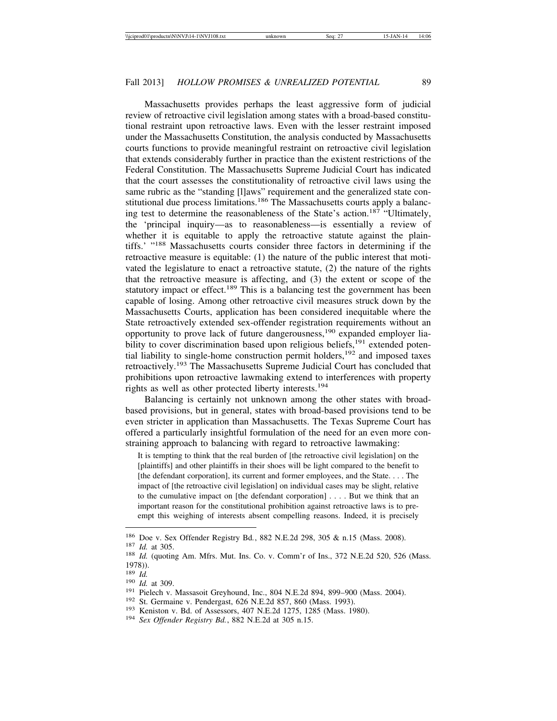Massachusetts provides perhaps the least aggressive form of judicial review of retroactive civil legislation among states with a broad-based constitutional restraint upon retroactive laws. Even with the lesser restraint imposed under the Massachusetts Constitution, the analysis conducted by Massachusetts courts functions to provide meaningful restraint on retroactive civil legislation that extends considerably further in practice than the existent restrictions of the Federal Constitution. The Massachusetts Supreme Judicial Court has indicated that the court assesses the constitutionality of retroactive civil laws using the same rubric as the "standing [l]aws" requirement and the generalized state constitutional due process limitations.<sup>186</sup> The Massachusetts courts apply a balancing test to determine the reasonableness of the State's action.<sup>187</sup> "Ultimately, the 'principal inquiry—as to reasonableness—is essentially a review of whether it is equitable to apply the retroactive statute against the plaintiffs.' "188 Massachusetts courts consider three factors in determining if the retroactive measure is equitable: (1) the nature of the public interest that motivated the legislature to enact a retroactive statute, (2) the nature of the rights that the retroactive measure is affecting, and (3) the extent or scope of the statutory impact or effect.<sup>189</sup> This is a balancing test the government has been capable of losing. Among other retroactive civil measures struck down by the Massachusetts Courts, application has been considered inequitable where the State retroactively extended sex-offender registration requirements without an opportunity to prove lack of future dangerousness,  $190$  expanded employer liability to cover discrimination based upon religious beliefs,<sup>191</sup> extended potential liability to single-home construction permit holders,  $192$  and imposed taxes retroactively.193 The Massachusetts Supreme Judicial Court has concluded that prohibitions upon retroactive lawmaking extend to interferences with property rights as well as other protected liberty interests.<sup>194</sup>

Balancing is certainly not unknown among the other states with broadbased provisions, but in general, states with broad-based provisions tend to be even stricter in application than Massachusetts. The Texas Supreme Court has offered a particularly insightful formulation of the need for an even more constraining approach to balancing with regard to retroactive lawmaking:

It is tempting to think that the real burden of [the retroactive civil legislation] on the [plaintiffs] and other plaintiffs in their shoes will be light compared to the benefit to [the defendant corporation], its current and former employees, and the State. . . . The impact of [the retroactive civil legislation] on individual cases may be slight, relative to the cumulative impact on [the defendant corporation] . . . . But we think that an important reason for the constitutional prohibition against retroactive laws is to preempt this weighing of interests absent compelling reasons. Indeed, it is precisely

<sup>186</sup> Doe v. Sex Offender Registry Bd., 882 N.E.2d 298, 305 & n.15 (Mass. 2008).<br><sup>187</sup> *Id.* at 305. 188 *Id.* (quoting Am. Mfrs. Mut. Ins. Co. v. Comm'r of Ins., 372 N.E.2d 520, 526 (Mass. 1978)).<br> $189$  *Id.* 

<sup>&</sup>lt;sup>190</sup> *Id.* at 309.<br>
<sup>191</sup> Pielech v. Massasoit Greyhound, Inc., 804 N.E.2d 894, 899–900 (Mass. 2004).<br>
<sup>192</sup> St. Germaine v. Pendergast, 626 N.E.2d 857, 860 (Mass. 1993).<br>
<sup>193</sup> Keniston v. Bd. of Assessors, 407 N.E.2d 1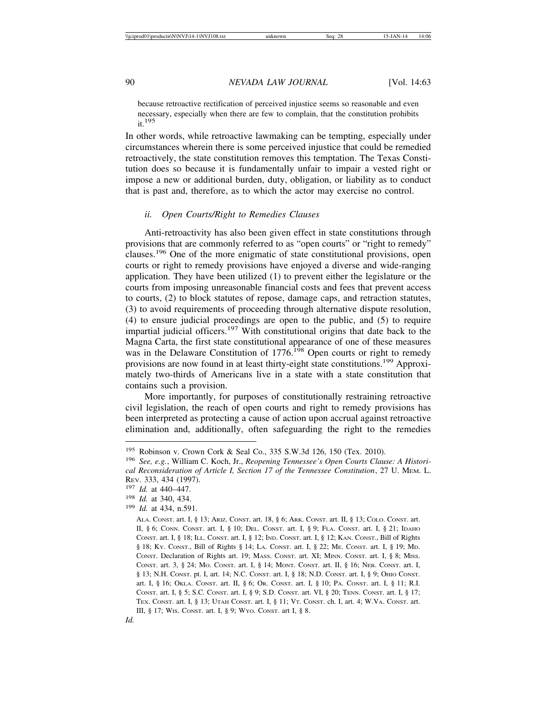because retroactive rectification of perceived injustice seems so reasonable and even necessary, especially when there are few to complain, that the constitution prohibits  $it.<sup>195</sup>$ 

In other words, while retroactive lawmaking can be tempting, especially under circumstances wherein there is some perceived injustice that could be remedied retroactively, the state constitution removes this temptation. The Texas Constitution does so because it is fundamentally unfair to impair a vested right or impose a new or additional burden, duty, obligation, or liability as to conduct that is past and, therefore, as to which the actor may exercise no control.

#### *ii. Open Courts/Right to Remedies Clauses*

Anti-retroactivity has also been given effect in state constitutions through provisions that are commonly referred to as "open courts" or "right to remedy" clauses.196 One of the more enigmatic of state constitutional provisions, open courts or right to remedy provisions have enjoyed a diverse and wide-ranging application. They have been utilized (1) to prevent either the legislature or the courts from imposing unreasonable financial costs and fees that prevent access to courts, (2) to block statutes of repose, damage caps, and retraction statutes, (3) to avoid requirements of proceeding through alternative dispute resolution, (4) to ensure judicial proceedings are open to the public, and (5) to require impartial judicial officers.<sup>197</sup> With constitutional origins that date back to the Magna Carta, the first state constitutional appearance of one of these measures was in the Delaware Constitution of  $1776$ <sup>198</sup> Open courts or right to remedy provisions are now found in at least thirty-eight state constitutions.199 Approximately two-thirds of Americans live in a state with a state constitution that contains such a provision.

More importantly, for purposes of constitutionally restraining retroactive civil legislation, the reach of open courts and right to remedy provisions has been interpreted as protecting a cause of action upon accrual against retroactive elimination and, additionally, often safeguarding the right to the remedies

<sup>195</sup> Robinson v. Crown Cork & Seal Co., 335 S.W.3d 126, 150 (Tex. 2010).

<sup>196</sup> *See, e.g.*, William C. Koch, Jr., *Reopening Tennessee's Open Courts Clause: A Historical Reconsideration of Article I, Section 17 of the Tennessee Constitution*, 27 U. MEM. L. REV. 333, 434 (1997).

<sup>197</sup> *Id.* at 440–447.

<sup>198</sup> *Id.* at 340, 434.

<sup>199</sup> *Id.* at 434, n.591.

ALA. CONST. art. I, § 13; ARIZ. CONST. art. 18, § 6; ARK. CONST. art. II, § 13; COLO. CONST. art. II, § 6; CONN. CONST. art. I, § 10; DEL. CONST. art. I, § 9; FLA. CONST. art. I, § 21; IDAHO CONST. art. I, § 18; ILL. CONST. art. I, § 12; IND. CONST. art. I, § 12; KAN. CONST., Bill of Rights § 18; KY. CONST., Bill of Rights § 14; LA. CONST. art. I, § 22; ME. CONST. art. I, § 19; MD. CONST. Declaration of Rights art. 19; MASS. CONST. art. XI; MINN. CONST. art. I, § 8; MISS. CONST. art. 3, § 24; MO. CONST. art. I, § 14; MONT. CONST. art. II, § 16; NEB. CONST. art. I, § 13; N.H. CONST. pt. I, art. 14; N.C. CONST. art. I, § 18; N.D. CONST. art. I, § 9; OHIO CONST. art. I, § 16; OKLA. CONST. art. II, § 6; OR. CONST. art. I, § 10; PA. CONST. art. I, § 11; R.I. CONST. art. I, § 5; S.C. CONST. art. I, § 9; S.D. CONST. art. VI, § 20; TENN. CONST. art. I, § 17; TEX. CONST. art. I, § 13; UTAH CONST. art. I, § 11; VT. CONST. ch. I, art. 4; W.VA. CONST. art. III, § 17; WIS. CONST. art. I, § 9; WYO. CONST. art I, § 8.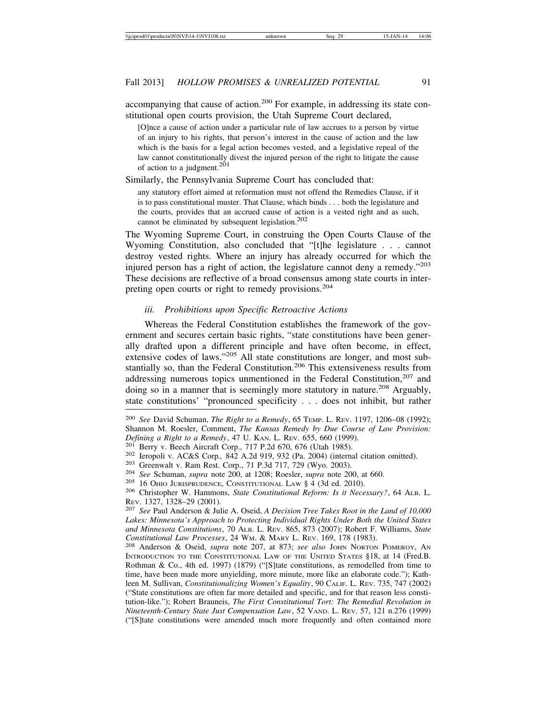accompanying that cause of action.<sup>200</sup> For example, in addressing its state constitutional open courts provision, the Utah Supreme Court declared,

[O]nce a cause of action under a particular rule of law accrues to a person by virtue of an injury to his rights, that person's interest in the cause of action and the law which is the basis for a legal action becomes vested, and a legislative repeal of the law cannot constitutionally divest the injured person of the right to litigate the cause of action to a judgment.<sup>201</sup>

Similarly, the Pennsylvania Supreme Court has concluded that:

any statutory effort aimed at reformation must not offend the Remedies Clause, if it is to pass constitutional muster. That Clause, which binds . . . both the legislature and the courts, provides that an accrued cause of action is a vested right and as such, cannot be eliminated by subsequent legislation.<sup>202</sup>

The Wyoming Supreme Court, in construing the Open Courts Clause of the Wyoming Constitution, also concluded that "[t]he legislature . . . cannot destroy vested rights. Where an injury has already occurred for which the injured person has a right of action, the legislature cannot deny a remedy."<sup>203</sup> These decisions are reflective of a broad consensus among state courts in interpreting open courts or right to remedy provisions.<sup>204</sup>

#### *iii. Prohibitions upon Specific Retroactive Actions*

Whereas the Federal Constitution establishes the framework of the government and secures certain basic rights, "state constitutions have been generally drafted upon a different principle and have often become, in effect, extensive codes of laws."205 All state constitutions are longer, and most substantially so, than the Federal Constitution.<sup>206</sup> This extensiveness results from addressing numerous topics unmentioned in the Federal Constitution, $207$  and doing so in a manner that is seemingly more statutory in nature.<sup>208</sup> Arguably, state constitutions' "pronounced specificity . . . does not inhibit, but rather

<sup>200</sup> *See* David Schuman, *The Right to a Remedy*, 65 TEMP. L. REV. 1197, 1206–08 (1992); Shannon M. Roesler, Comment, *The Kansas Remedy by Due Course of Law Provision: Defining a Right to a Remedy*, 47 U. KAN. L. REV. 655, 660 (1999).<br><sup>201</sup> Berry v. Beech Aircraft Corp., 717 P.2d 670, 676 (Utah 1985).<br><sup>202</sup> Ieropoli v. AC&S Corp., 842 A.2d 919, 932 (Pa. 2004) (internal citation omitted

REV. 1327, 1328–29 (2001). <sup>207</sup> *See* Paul Anderson & Julie A. Oseid, *A Decision Tree Takes Root in the Land of 10,000 Lakes: Minnesota's Approach to Protecting Individual Rights Under Both the United States and Minnesota Constitutions*, 70 ALB. L. REV. 865, 873 (2007); Robert F. Williams, *State*

*Constitutional Law Processes*, 24 WM. & MARY L. REV. 169, 178 (1983). <sup>208</sup> Anderson & Oseid, *supra* note 207, at 873; *see also* JOHN NORTON POMEROY, AN INTRODUCTION TO THE CONSTITUTIONAL LAW OF THE UNITED STATES §18, at 14 (Fred.B. Rothman & Co., 4th ed. 1997) (1879) ("[S]tate constitutions, as remodelled from time to time, have been made more unyielding, more minute, more like an elaborate code."); Kathleen M. Sullivan, *Constitutionalizing Women's Equality*, 90 CALIF. L. REV. 735, 747 (2002) ("State constitutions are often far more detailed and specific, and for that reason less constitution-like."); Robert Brauneis, *The First Constitutional Tort: The Remedial Revolution in Nineteenth-Century State Just Compensation Law*, 52 VAND. L. REV. 57, 121 n.276 (1999) ("[S]tate constitutions were amended much more frequently and often contained more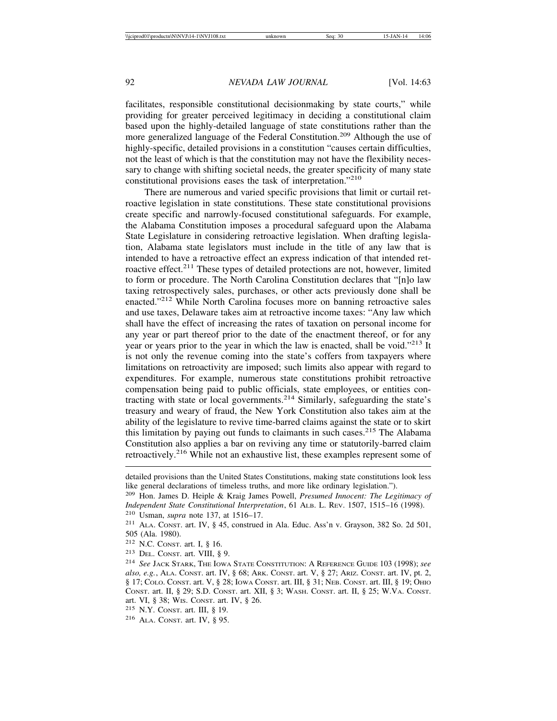facilitates, responsible constitutional decisionmaking by state courts," while providing for greater perceived legitimacy in deciding a constitutional claim based upon the highly-detailed language of state constitutions rather than the more generalized language of the Federal Constitution.<sup>209</sup> Although the use of highly-specific, detailed provisions in a constitution "causes certain difficulties, not the least of which is that the constitution may not have the flexibility necessary to change with shifting societal needs, the greater specificity of many state constitutional provisions eases the task of interpretation."<sup>210</sup>

There are numerous and varied specific provisions that limit or curtail retroactive legislation in state constitutions. These state constitutional provisions create specific and narrowly-focused constitutional safeguards. For example, the Alabama Constitution imposes a procedural safeguard upon the Alabama State Legislature in considering retroactive legislation. When drafting legislation, Alabama state legislators must include in the title of any law that is intended to have a retroactive effect an express indication of that intended retroactive effect.<sup>211</sup> These types of detailed protections are not, however, limited to form or procedure. The North Carolina Constitution declares that "[n]o law taxing retrospectively sales, purchases, or other acts previously done shall be enacted."212 While North Carolina focuses more on banning retroactive sales and use taxes, Delaware takes aim at retroactive income taxes: "Any law which shall have the effect of increasing the rates of taxation on personal income for any year or part thereof prior to the date of the enactment thereof, or for any year or years prior to the year in which the law is enacted, shall be void."213 It is not only the revenue coming into the state's coffers from taxpayers where limitations on retroactivity are imposed; such limits also appear with regard to expenditures. For example, numerous state constitutions prohibit retroactive compensation being paid to public officials, state employees, or entities contracting with state or local governments.<sup>214</sup> Similarly, safeguarding the state's treasury and weary of fraud, the New York Constitution also takes aim at the ability of the legislature to revive time-barred claims against the state or to skirt this limitation by paying out funds to claimants in such cases.<sup>215</sup> The Alabama Constitution also applies a bar on reviving any time or statutorily-barred claim retroactively.<sup>216</sup> While not an exhaustive list, these examples represent some of

<sup>213</sup> DEL. CONST. art. VIII, § 9.

detailed provisions than the United States Constitutions, making state constitutions look less like general declarations of timeless truths, and more like ordinary legislation.").

<sup>209</sup> Hon. James D. Heiple & Kraig James Powell, *Presumed Innocent: The Legitimacy of Independent State Constitutional Interpretation*, 61 ALB. L. REV. 1507, 1515–16 (1998). <sup>210</sup> Usman, *supra* note 137, at 1516–17.

<sup>211</sup> ALA. CONST. art. IV, § 45, construed in Ala. Educ. Ass'n v. Grayson, 382 So. 2d 501, 505 (Ala. 1980).

<sup>212</sup> N.C. CONST. art. I, § 16.

<sup>214</sup> *See* JACK STARK, THE IOWA STATE CONSTITUTION: A REFERENCE GUIDE 103 (1998); *see also, e.g.*, ALA. CONST. art. IV, § 68; ARK. CONST. art. V, § 27; ARIZ. CONST. art. IV, pt. 2, § 17; COLO. CONST. art. V, § 28; IOWA CONST. art. III, § 31; NEB. CONST. art. III, § 19; OHIO CONST. art. II, § 29; S.D. CONST. art. XII, § 3; WASH. CONST. art. II, § 25; W.VA. CONST. art. VI, § 38; WIS. CONST. art. IV, § 26.

<sup>215</sup> N.Y. CONST. art. III, § 19.

<sup>216</sup> ALA. CONST. art. IV, § 95.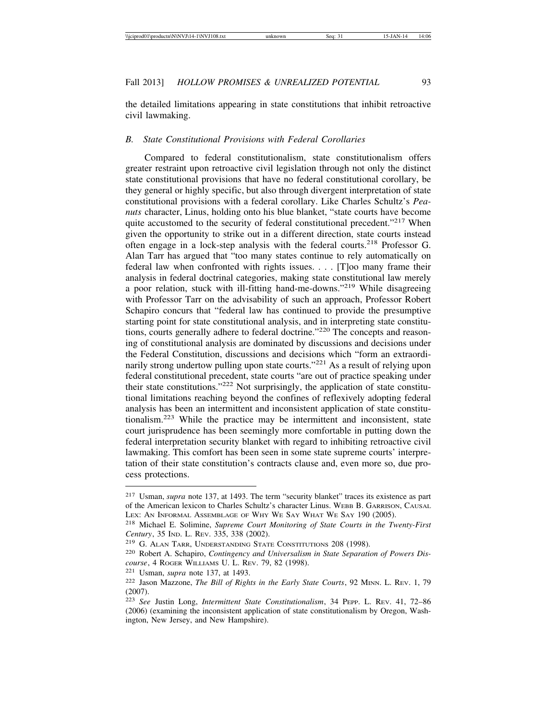the detailed limitations appearing in state constitutions that inhibit retroactive civil lawmaking.

## *B. State Constitutional Provisions with Federal Corollaries*

Compared to federal constitutionalism, state constitutionalism offers greater restraint upon retroactive civil legislation through not only the distinct state constitutional provisions that have no federal constitutional corollary, be they general or highly specific, but also through divergent interpretation of state constitutional provisions with a federal corollary. Like Charles Schultz's *Peanuts* character, Linus, holding onto his blue blanket, "state courts have become quite accustomed to the security of federal constitutional precedent."<sup>217</sup> When given the opportunity to strike out in a different direction, state courts instead often engage in a lock-step analysis with the federal courts.218 Professor G. Alan Tarr has argued that "too many states continue to rely automatically on federal law when confronted with rights issues. . . . [T]oo many frame their analysis in federal doctrinal categories, making state constitutional law merely a poor relation, stuck with ill-fitting hand-me-downs."219 While disagreeing with Professor Tarr on the advisability of such an approach, Professor Robert Schapiro concurs that "federal law has continued to provide the presumptive starting point for state constitutional analysis, and in interpreting state constitutions, courts generally adhere to federal doctrine."<sup>220</sup> The concepts and reasoning of constitutional analysis are dominated by discussions and decisions under the Federal Constitution, discussions and decisions which "form an extraordinarily strong undertow pulling upon state courts."<sup>221</sup> As a result of relying upon federal constitutional precedent, state courts "are out of practice speaking under their state constitutions."222 Not surprisingly, the application of state constitutional limitations reaching beyond the confines of reflexively adopting federal analysis has been an intermittent and inconsistent application of state constitutionalism.223 While the practice may be intermittent and inconsistent, state court jurisprudence has been seemingly more comfortable in putting down the federal interpretation security blanket with regard to inhibiting retroactive civil lawmaking. This comfort has been seen in some state supreme courts' interpretation of their state constitution's contracts clause and, even more so, due process protections.

<sup>217</sup> Usman, *supra* note 137, at 1493. The term "security blanket" traces its existence as part of the American lexicon to Charles Schultz's character Linus. WEBB B. GARRISON, CAUSAL LEX: AN INFORMAL ASSEMBLAGE OF WHY WE SAY WHAT WE SAY 190 (2005).

<sup>218</sup> Michael E. Solimine, *Supreme Court Monitoring of State Courts in the Twenty-First Century*, 35 IND. L. REV. 335, 338 (2002).

<sup>&</sup>lt;sup>219</sup> G. ALAN TARR, UNDERSTANDING STATE CONSTITUTIONS 208 (1998).

<sup>220</sup> Robert A. Schapiro, *Contingency and Universalism in State Separation of Powers Discourse*, 4 ROGER WILLIAMS U. L. REV. 79, 82 (1998).

<sup>221</sup> Usman, *supra* note 137, at 1493.

<sup>222</sup> Jason Mazzone, *The Bill of Rights in the Early State Courts*, 92 MINN. L. REV. 1, 79 (2007).

<sup>223</sup> *See* Justin Long, *Intermittent State Constitutionalism*, 34 PEPP. L. REV. 41, 72–86 (2006) (examining the inconsistent application of state constitutionalism by Oregon, Washington, New Jersey, and New Hampshire).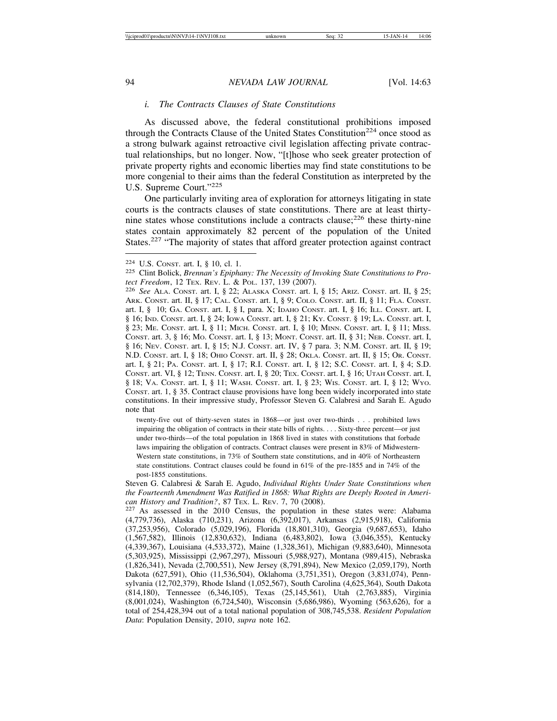## *i. The Contracts Clauses of State Constitutions*

As discussed above, the federal constitutional prohibitions imposed through the Contracts Clause of the United States Constitution<sup>224</sup> once stood as a strong bulwark against retroactive civil legislation affecting private contractual relationships, but no longer. Now, "[t]hose who seek greater protection of private property rights and economic liberties may find state constitutions to be more congenial to their aims than the federal Constitution as interpreted by the U.S. Supreme Court."<sup>225</sup>

One particularly inviting area of exploration for attorneys litigating in state courts is the contracts clauses of state constitutions. There are at least thirtynine states whose constitutions include a contracts clause; $226$  these thirty-nine states contain approximately 82 percent of the population of the United States.<sup>227</sup> "The majority of states that afford greater protection against contract

twenty-five out of thirty-seven states in 1868—or just over two-thirds . . . prohibited laws impairing the obligation of contracts in their state bills of rights. . . . Sixty-three percent—or just under two-thirds—of the total population in 1868 lived in states with constitutions that forbade laws impairing the obligation of contracts. Contract clauses were present in 83% of Midwestern-Western state constitutions, in 73% of Southern state constitutions, and in 40% of Northeastern state constitutions. Contract clauses could be found in 61% of the pre-1855 and in 74% of the post-1855 constitutions.

Steven G. Calabresi & Sarah E. Agudo, *Individual Rights Under State Constitutions when the Fourteenth Amendment Was Ratified in 1868: What Rights are Deeply Rooted in Ameri-*

<sup>&</sup>lt;sup>224</sup> U.S. Const. art. I, § 10, cl. 1.<br><sup>225</sup> Clint Bolick, *Brennan's Epiphany: The Necessity of Invoking State Constitutions to Pro-*

*tect Freedom*, 12 Tex. Rev. L. & Pol. 137, 139 (2007).<br><sup>226</sup> *See* Ala. Const. art. I, § 22; Alaska Const. art. I, § 15; Ariz. Const. art. II, § 25; ARK. CONST. art. II, § 17; CAL. CONST. art. I, § 9; COLO. CONST. art. II, § 11; FLA. CONST. art. I, § 10; GA. CONST. art. I, § I, para. X; IDAHO CONST. art. I, § 16; ILL. CONST. art. I, § 16; IND. CONST. art. I, § 24; IOWA CONST. art. I, § 21; KY. CONST. § 19; LA. CONST. art. I, § 23; ME. CONST. art. I, § 11; MICH. CONST. art. I, § 10; MINN. CONST. art. I, § 11; MISS. CONST. art. 3, § 16; MO. CONST. art. I, § 13; MONT. CONST. art. II, § 31; NEB. CONST. art. I, § 16; NEV. CONST. art. I, § 15; N.J. CONST. art. IV, § 7 para. 3; N.M. CONST. art. II, § 19; N.D. CONST. art. I, § 18; OHIO CONST. art. II, § 28; OKLA. CONST. art. II, § 15; OR. CONST. art. I, § 21; PA. CONST. art. I, § 17; R.I. CONST. art. I, § 12; S.C. CONST. art. I, § 4; S.D. CONST. art. VI, § 12; TENN. CONST. art. I, § 20; TEX. CONST. art. I, § 16; UTAH CONST. art. I, § 18; VA. CONST. art. I, § 11; WASH. CONST. art. I, § 23; WIS. CONST. art. I, § 12; WYO. CONST. art. 1, § 35. Contract clause provisions have long been widely incorporated into state constitutions. In their impressive study, Professor Steven G. Calabresi and Sarah E. Agudo note that

*can History and Tradition?*, 87 TEX. L. REV. 7, 70 (2008). <sup>227</sup> As assessed in the 2010 Census, the population in these states were: Alabama (4,779,736), Alaska (710,231), Arizona (6,392,017), Arkansas (2,915,918), California (37,253,956), Colorado (5,029,196), Florida (18,801,310), Georgia (9,687,653), Idaho (1,567,582), Illinois (12,830,632), Indiana (6,483,802), Iowa (3,046,355), Kentucky (4,339,367), Louisiana (4,533,372), Maine (1,328,361), Michigan (9,883,640), Minnesota (5,303,925), Mississippi (2,967,297), Missouri (5,988,927), Montana (989,415), Nebraska (1,826,341), Nevada (2,700,551), New Jersey (8,791,894), New Mexico (2,059,179), North Dakota (627,591), Ohio (11,536,504), Oklahoma (3,751,351), Oregon (3,831,074), Pennsylvania (12,702,379), Rhode Island (1,052,567), South Carolina (4,625,364), South Dakota (814,180), Tennessee (6,346,105), Texas (25,145,561), Utah (2,763,885), Virginia (8,001,024), Washington (6,724,540), Wisconsin (5,686,986), Wyoming (563,626), for a total of 254,428,394 out of a total national population of 308,745,538. *Resident Population Data*: Population Density, 2010, *supra* note 162.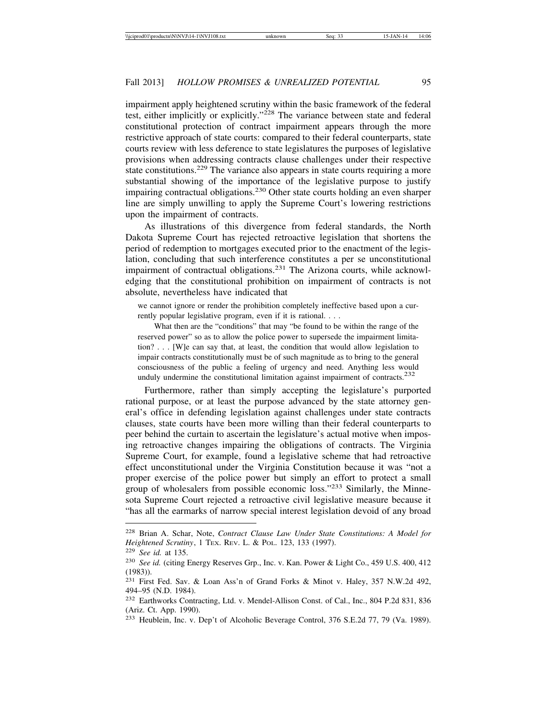impairment apply heightened scrutiny within the basic framework of the federal test, either implicitly or explicitly."228 The variance between state and federal constitutional protection of contract impairment appears through the more restrictive approach of state courts: compared to their federal counterparts, state courts review with less deference to state legislatures the purposes of legislative provisions when addressing contracts clause challenges under their respective state constitutions.<sup>229</sup> The variance also appears in state courts requiring a more substantial showing of the importance of the legislative purpose to justify impairing contractual obligations.<sup>230</sup> Other state courts holding an even sharper line are simply unwilling to apply the Supreme Court's lowering restrictions upon the impairment of contracts.

As illustrations of this divergence from federal standards, the North Dakota Supreme Court has rejected retroactive legislation that shortens the period of redemption to mortgages executed prior to the enactment of the legislation, concluding that such interference constitutes a per se unconstitutional impairment of contractual obligations.<sup>231</sup> The Arizona courts, while acknowledging that the constitutional prohibition on impairment of contracts is not absolute, nevertheless have indicated that

we cannot ignore or render the prohibition completely ineffective based upon a currently popular legislative program, even if it is rational. . . .

What then are the "conditions" that may "be found to be within the range of the reserved power" so as to allow the police power to supersede the impairment limitation? . . . [W]e can say that, at least, the condition that would allow legislation to impair contracts constitutionally must be of such magnitude as to bring to the general consciousness of the public a feeling of urgency and need. Anything less would unduly undermine the constitutional limitation against impairment of contracts.<sup>232</sup>

Furthermore, rather than simply accepting the legislature's purported rational purpose, or at least the purpose advanced by the state attorney general's office in defending legislation against challenges under state contracts clauses, state courts have been more willing than their federal counterparts to peer behind the curtain to ascertain the legislature's actual motive when imposing retroactive changes impairing the obligations of contracts. The Virginia Supreme Court, for example, found a legislative scheme that had retroactive effect unconstitutional under the Virginia Constitution because it was "not a proper exercise of the police power but simply an effort to protect a small group of wholesalers from possible economic loss."233 Similarly, the Minnesota Supreme Court rejected a retroactive civil legislative measure because it "has all the earmarks of narrow special interest legislation devoid of any broad

<sup>228</sup> Brian A. Schar, Note, *Contract Clause Law Under State Constitutions: A Model for Heightened Scrutiny*, 1 TEX. REV. L. & POL. 123, 133 (1997).

<sup>229</sup> *See id.* at 135.

<sup>230</sup> *See id.* (citing Energy Reserves Grp., Inc. v. Kan. Power & Light Co., 459 U.S. 400, 412 (1983)).

<sup>231</sup> First Fed. Sav. & Loan Ass'n of Grand Forks & Minot v. Haley, 357 N.W.2d 492, 494–95 (N.D. 1984).

<sup>232</sup> Earthworks Contracting, Ltd. v. Mendel-Allison Const. of Cal., Inc., 804 P.2d 831, 836 (Ariz. Ct. App. 1990).

<sup>233</sup> Heublein, Inc. v. Dep't of Alcoholic Beverage Control, 376 S.E.2d 77, 79 (Va. 1989).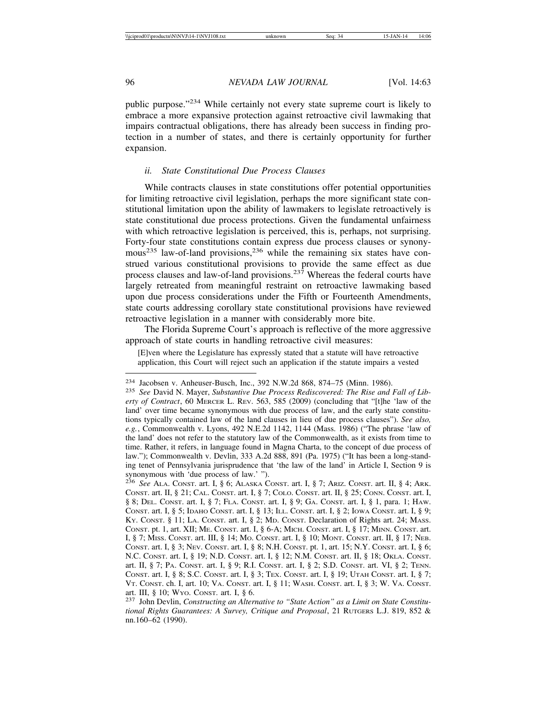public purpose."234 While certainly not every state supreme court is likely to embrace a more expansive protection against retroactive civil lawmaking that impairs contractual obligations, there has already been success in finding protection in a number of states, and there is certainly opportunity for further expansion.

## *ii. State Constitutional Due Process Clauses*

While contracts clauses in state constitutions offer potential opportunities for limiting retroactive civil legislation, perhaps the more significant state constitutional limitation upon the ability of lawmakers to legislate retroactively is state constitutional due process protections. Given the fundamental unfairness with which retroactive legislation is perceived, this is, perhaps, not surprising. Forty-four state constitutions contain express due process clauses or synonymous<sup>235</sup> law-of-land provisions,<sup>236</sup> while the remaining six states have construed various constitutional provisions to provide the same effect as due process clauses and law-of-land provisions.<sup>237</sup> Whereas the federal courts have largely retreated from meaningful restraint on retroactive lawmaking based upon due process considerations under the Fifth or Fourteenth Amendments, state courts addressing corollary state constitutional provisions have reviewed retroactive legislation in a manner with considerably more bite.

The Florida Supreme Court's approach is reflective of the more aggressive approach of state courts in handling retroactive civil measures:

[E]ven where the Legislature has expressly stated that a statute will have retroactive application, this Court will reject such an application if the statute impairs a vested

<sup>234</sup> Jacobsen v. Anheuser-Busch, Inc., 392 N.W.2d 868, 874–75 (Minn. 1986). <sup>235</sup> *See* David N. Mayer, *Substantive Due Process Rediscovered: The Rise and Fall of Liberty of Contract*, 60 MERCER L. REV. 563, 585 (2009) (concluding that "[t]he 'law of the land' over time became synonymous with due process of law, and the early state constitutions typically contained law of the land clauses in lieu of due process clauses"). *See also, e.g.*, Commonwealth v. Lyons, 492 N.E.2d 1142, 1144 (Mass. 1986) ("The phrase 'law of the land' does not refer to the statutory law of the Commonwealth, as it exists from time to time. Rather, it refers, in language found in Magna Charta, to the concept of due process of law."); Commonwealth v. Devlin, 333 A.2d 888, 891 (Pa. 1975) ("It has been a long-standing tenet of Pennsylvania jurisprudence that 'the law of the land' in Article I, Section 9 is synonymous with 'due process of law.' ").

<sup>236</sup> *See* ALA. CONST. art. I, § 6; ALASKA CONST. art. I, § 7; ARIZ. CONST. art. II, § 4; ARK. CONST. art. II, § 21; CAL. CONST. art. I, § 7; COLO. CONST. art. II, § 25; CONN. CONST. art. I, § 8; DEL. CONST. art. I, § 7; FLA. CONST. art. I, § 9; GA. CONST. art. I, § 1, para. 1; HAW. CONST. art. I, § 5; IDAHO CONST. art. I, § 13; ILL. CONST. art. I, § 2; IOWA CONST. art. I, § 9; KY. CONST. § 11; LA. CONST. art. I, § 2; MD. CONST. Declaration of Rights art. 24; MASS. CONST. pt. 1, art. XII; ME. CONST. art. I, § 6-A; MICH. CONST. art. I, § 17; MINN. CONST. art. I, § 7; MISS. CONST. art. III, § 14; MO. CONST. art. I, § 10; MONT. CONST. art. II, § 17; NEB. CONST. art. I, § 3; NEV. CONST. art. I, § 8; N.H. CONST. pt. 1, art. 15; N.Y. CONST. art. I, § 6; N.C. CONST. art. I, § 19; N.D. CONST. art. I, § 12; N.M. CONST. art. II, § 18; OKLA. CONST. art. II, § 7; PA. CONST. art. I, § 9; R.I. CONST. art. I, § 2; S.D. CONST. art. VI, § 2; TENN. CONST. art. I, § 8; S.C. CONST. art. I, § 3; TEX. CONST. art. I, § 19; UTAH CONST. art. I, § 7; VT. CONST. ch. I, art. 10; VA. CONST. art. I, § 11; WASH. CONST. art. I, § 3; W. VA. CONST.

art. III, § 10; Wyo. Constructing an Alternative to "State Action" as a Limit on State Constitu-<br><sup>237</sup> John Devlin, Constructing an Alternative to "State Action" as a Limit on State Constitu*tional Rights Guarantees: A Survey, Critique and Proposal*, 21 RUTGERS L.J. 819, 852 & nn.160–62 (1990).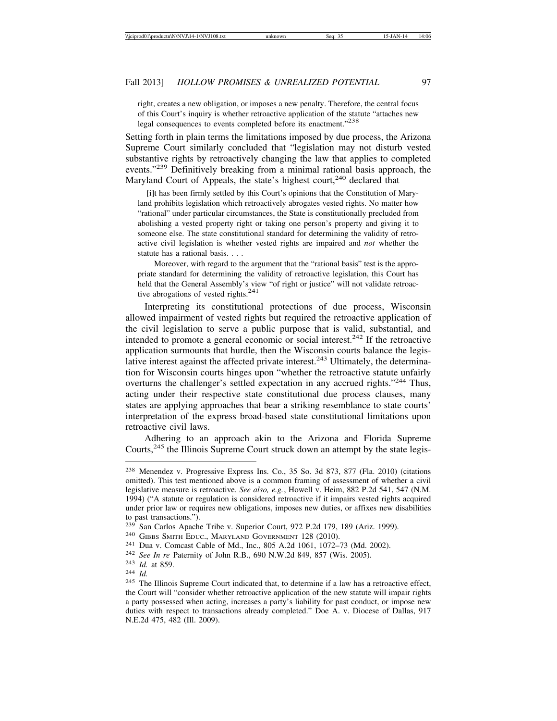right, creates a new obligation, or imposes a new penalty. Therefore, the central focus of this Court's inquiry is whether retroactive application of the statute "attaches new legal consequences to events completed before its enactment."<sup>238</sup>

Setting forth in plain terms the limitations imposed by due process, the Arizona Supreme Court similarly concluded that "legislation may not disturb vested substantive rights by retroactively changing the law that applies to completed events."<sup>239</sup> Definitively breaking from a minimal rational basis approach, the Maryland Court of Appeals, the state's highest court,<sup>240</sup> declared that

 [i]t has been firmly settled by this Court's opinions that the Constitution of Maryland prohibits legislation which retroactively abrogates vested rights. No matter how "rational" under particular circumstances, the State is constitutionally precluded from abolishing a vested property right or taking one person's property and giving it to someone else. The state constitutional standard for determining the validity of retroactive civil legislation is whether vested rights are impaired and *not* whether the statute has a rational basis. . . .

Moreover, with regard to the argument that the "rational basis" test is the appropriate standard for determining the validity of retroactive legislation, this Court has held that the General Assembly's view "of right or justice" will not validate retroactive abrogations of vested rights. $^{241}$ 

Interpreting its constitutional protections of due process, Wisconsin allowed impairment of vested rights but required the retroactive application of the civil legislation to serve a public purpose that is valid, substantial, and intended to promote a general economic or social interest.<sup>242</sup> If the retroactive application surmounts that hurdle, then the Wisconsin courts balance the legislative interest against the affected private interest.<sup>243</sup> Ultimately, the determination for Wisconsin courts hinges upon "whether the retroactive statute unfairly overturns the challenger's settled expectation in any accrued rights."<sup>244</sup> Thus, acting under their respective state constitutional due process clauses, many states are applying approaches that bear a striking resemblance to state courts' interpretation of the express broad-based state constitutional limitations upon retroactive civil laws.

Adhering to an approach akin to the Arizona and Florida Supreme Courts,245 the Illinois Supreme Court struck down an attempt by the state legis-

<sup>238</sup> Menendez v. Progressive Express Ins. Co., 35 So. 3d 873, 877 (Fla. 2010) (citations omitted). This test mentioned above is a common framing of assessment of whether a civil legislative measure is retroactive. *See also, e.g.*, Howell v. Heim, 882 P.2d 541, 547 (N.M. 1994) ("A statute or regulation is considered retroactive if it impairs vested rights acquired under prior law or requires new obligations, imposes new duties, or affixes new disabilities to past transactions.").<br><sup>239</sup> San Carlos Apache Tribe v. Superior Court, 972 P.2d 179, 189 (Ariz. 1999).

<sup>&</sup>lt;sup>240</sup> GIBBS SMITH EDUC., MARYLAND GOVERNMENT 128 (2010).<br><sup>241</sup> Dua v. Comcast Cable of Md., Inc., 805 A.2d 1061, 1072–73 (Md. 2002).<br><sup>242</sup> See In re Paternity of John R.B., 690 N.W.2d 849, 857 (Wis. 2005).<br><sup>243</sup> Id. at 85

<sup>&</sup>lt;sup>245</sup> The Illinois Supreme Court indicated that, to determine if a law has a retroactive effect, the Court will "consider whether retroactive application of the new statute will impair rights a party possessed when acting, increases a party's liability for past conduct, or impose new duties with respect to transactions already completed." Doe A. v. Diocese of Dallas, 917 N.E.2d 475, 482 (Ill. 2009).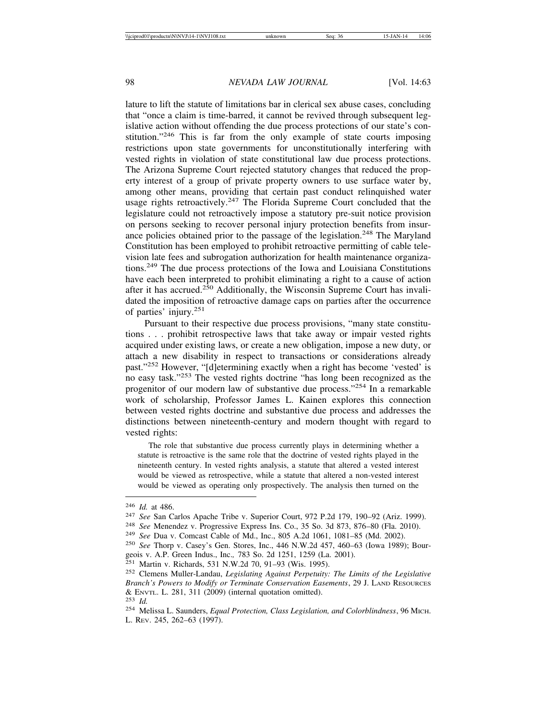lature to lift the statute of limitations bar in clerical sex abuse cases, concluding that "once a claim is time-barred, it cannot be revived through subsequent legislative action without offending the due process protections of our state's constitution."<sup>246</sup> This is far from the only example of state courts imposing restrictions upon state governments for unconstitutionally interfering with vested rights in violation of state constitutional law due process protections. The Arizona Supreme Court rejected statutory changes that reduced the property interest of a group of private property owners to use surface water by, among other means, providing that certain past conduct relinquished water usage rights retroactively.<sup>247</sup> The Florida Supreme Court concluded that the legislature could not retroactively impose a statutory pre-suit notice provision on persons seeking to recover personal injury protection benefits from insurance policies obtained prior to the passage of the legislation.<sup>248</sup> The Maryland Constitution has been employed to prohibit retroactive permitting of cable television late fees and subrogation authorization for health maintenance organizations.249 The due process protections of the Iowa and Louisiana Constitutions have each been interpreted to prohibit eliminating a right to a cause of action after it has accrued.<sup>250</sup> Additionally, the Wisconsin Supreme Court has invalidated the imposition of retroactive damage caps on parties after the occurrence of parties' injury.<sup>251</sup>

Pursuant to their respective due process provisions, "many state constitutions . . . prohibit retrospective laws that take away or impair vested rights acquired under existing laws, or create a new obligation, impose a new duty, or attach a new disability in respect to transactions or considerations already past."252 However, "[d]etermining exactly when a right has become 'vested' is no easy task."253 The vested rights doctrine "has long been recognized as the progenitor of our modern law of substantive due process."254 In a remarkable work of scholarship, Professor James L. Kainen explores this connection between vested rights doctrine and substantive due process and addresses the distinctions between nineteenth-century and modern thought with regard to vested rights:

 The role that substantive due process currently plays in determining whether a statute is retroactive is the same role that the doctrine of vested rights played in the nineteenth century. In vested rights analysis, a statute that altered a vested interest would be viewed as retrospective, while a statute that altered a non-vested interest would be viewed as operating only prospectively. The analysis then turned on the

<sup>246</sup> *Id.* at 486.

<sup>247</sup> *See* San Carlos Apache Tribe v. Superior Court, 972 P.2d 179, 190–92 (Ariz. 1999).

<sup>248</sup> *See* Menendez v. Progressive Express Ins. Co., 35 So. 3d 873, 876–80 (Fla. 2010).

<sup>249</sup> *See* Dua v. Comcast Cable of Md., Inc., 805 A.2d 1061, 1081–85 (Md. 2002).

<sup>250</sup> *See* Thorp v. Casey's Gen. Stores, Inc., 446 N.W.2d 457, 460–63 (Iowa 1989); Bourgeois v. A.P. Green Indus., Inc.*,* 783 So. 2d 1251, 1259 (La. 2001).

<sup>251</sup> Martin v. Richards, 531 N.W.2d 70, 91–93 (Wis. 1995).

<sup>252</sup> Clemens Muller-Landau, *Legislating Against Perpetuity: The Limits of the Legislative Branch's Powers to Modify or Terminate Conservation Easements*, 29 J. LAND RESOURCES & ENVTL. L. 281, 311 (2009) (internal quotation omitted). <sup>253</sup> *Id.*

<sup>254</sup> Melissa L. Saunders, *Equal Protection, Class Legislation, and Colorblindness*, 96 MICH. L. REV. 245, 262–63 (1997).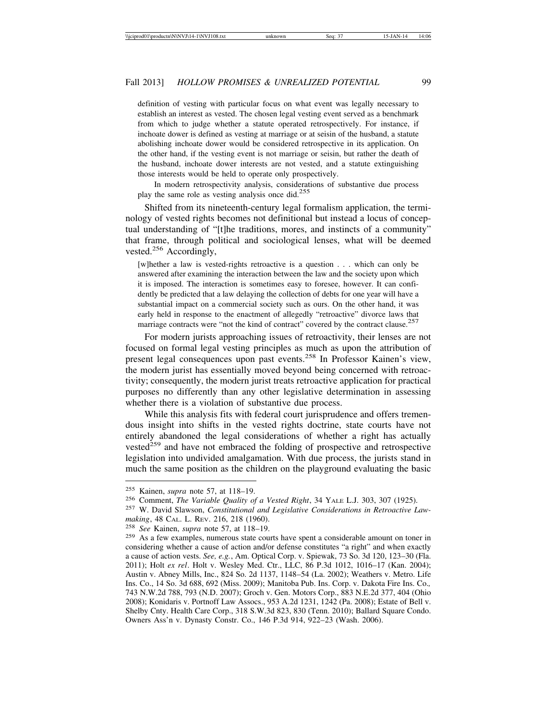definition of vesting with particular focus on what event was legally necessary to establish an interest as vested. The chosen legal vesting event served as a benchmark from which to judge whether a statute operated retrospectively. For instance, if inchoate dower is defined as vesting at marriage or at seisin of the husband, a statute abolishing inchoate dower would be considered retrospective in its application. On the other hand, if the vesting event is not marriage or seisin, but rather the death of the husband, inchoate dower interests are not vested, and a statute extinguishing those interests would be held to operate only prospectively.

In modern retrospectivity analysis, considerations of substantive due process play the same role as vesting analysis once did.<sup>255</sup>

Shifted from its nineteenth-century legal formalism application, the terminology of vested rights becomes not definitional but instead a locus of conceptual understanding of "[t]he traditions, mores, and instincts of a community" that frame, through political and sociological lenses, what will be deemed vested.<sup>256</sup> Accordingly,

[w]hether a law is vested-rights retroactive is a question . . . which can only be answered after examining the interaction between the law and the society upon which it is imposed. The interaction is sometimes easy to foresee, however. It can confidently be predicted that a law delaying the collection of debts for one year will have a substantial impact on a commercial society such as ours. On the other hand, it was early held in response to the enactment of allegedly "retroactive" divorce laws that marriage contracts were "not the kind of contract" covered by the contract clause. $257$ 

For modern jurists approaching issues of retroactivity, their lenses are not focused on formal legal vesting principles as much as upon the attribution of present legal consequences upon past events.258 In Professor Kainen's view, the modern jurist has essentially moved beyond being concerned with retroactivity; consequently, the modern jurist treats retroactive application for practical purposes no differently than any other legislative determination in assessing whether there is a violation of substantive due process.

While this analysis fits with federal court jurisprudence and offers tremendous insight into shifts in the vested rights doctrine, state courts have not entirely abandoned the legal considerations of whether a right has actually vested<sup>259</sup> and have not embraced the folding of prospective and retrospective legislation into undivided amalgamation. With due process, the jurists stand in much the same position as the children on the playground evaluating the basic

<sup>&</sup>lt;sup>255</sup> Kainen, *supra* note 57, at 118–19.<br><sup>256</sup> Comment, *The Variable Quality of a Vested Right*, 34 YALE L.J. 303, 307 (1925).<br><sup>257</sup> W. David Slawson, *Constitutional and Legislative Considerations in Retroactive Law-*

*making*, 48 CAL. L. REV. 216, 218 (1960).<br><sup>258</sup> *See* Kainen, *supra* note 57, at 118–19.<br><sup>259</sup> As a few examples, numerous state courts have spent a considerable amount on toner in considering whether a cause of action and/or defense constitutes "a right" and when exactly a cause of action vests. *See, e.g.*, Am. Optical Corp. v. Spiewak, 73 So. 3d 120, 123–30 (Fla. 2011); Holt *ex rel*. Holt v. Wesley Med. Ctr., LLC, 86 P.3d 1012, 1016–17 (Kan. 2004); Austin v. Abney Mills, Inc., 824 So. 2d 1137, 1148–54 (La. 2002); Weathers v. Metro. Life Ins. Co., 14 So. 3d 688, 692 (Miss. 2009); Manitoba Pub. Ins. Corp. v. Dakota Fire Ins. Co.*,* 743 N.W.2d 788, 793 (N.D. 2007); Groch v. Gen. Motors Corp., 883 N.E.2d 377, 404 (Ohio 2008); Konidaris v. Portnoff Law Assocs., 953 A.2d 1231, 1242 (Pa. 2008); Estate of Bell v. Shelby Cnty. Health Care Corp., 318 S.W.3d 823, 830 (Tenn. 2010); Ballard Square Condo. Owners Ass'n v. Dynasty Constr. Co., 146 P.3d 914, 922–23 (Wash. 2006).